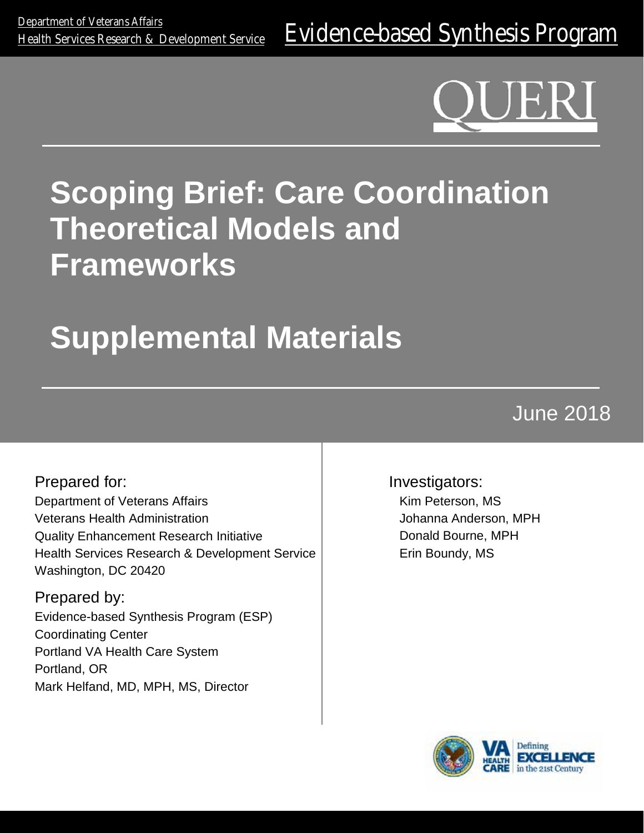### **: Care Coordination Models and Frameworks Scoping Brief: Care Coordination Theoretical Models and Frameworks**

## **Supplemental Materials Supplemental Materials**

# June 2018

Prepared for: Department of Veterans Affairs Veterans Health Administration Quality Enhancement Research Initiative Health Services Research & Development Service Washington, DC 20420

Prepared by: Evidence-based Synthesis Program (ESP) Coordinating Center Portland VA Health Care System Portland, OR Mark Helfand, MD, MPH, MS, Director

Investigators: Kim Peterson, MS Johanna Anderson, MPH Donald Bourne, MPH Erin Boundy, MS

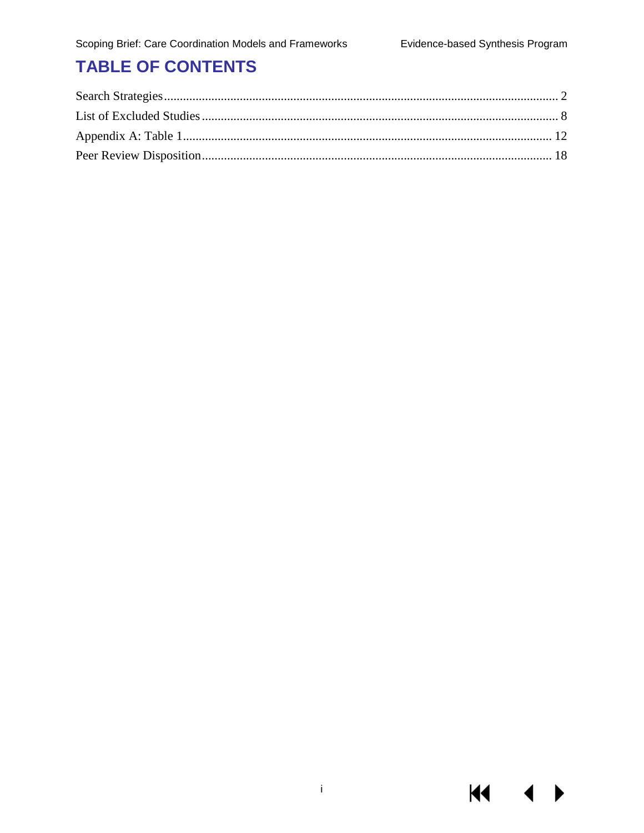KI I

#### **TABLE OF CONTENTS**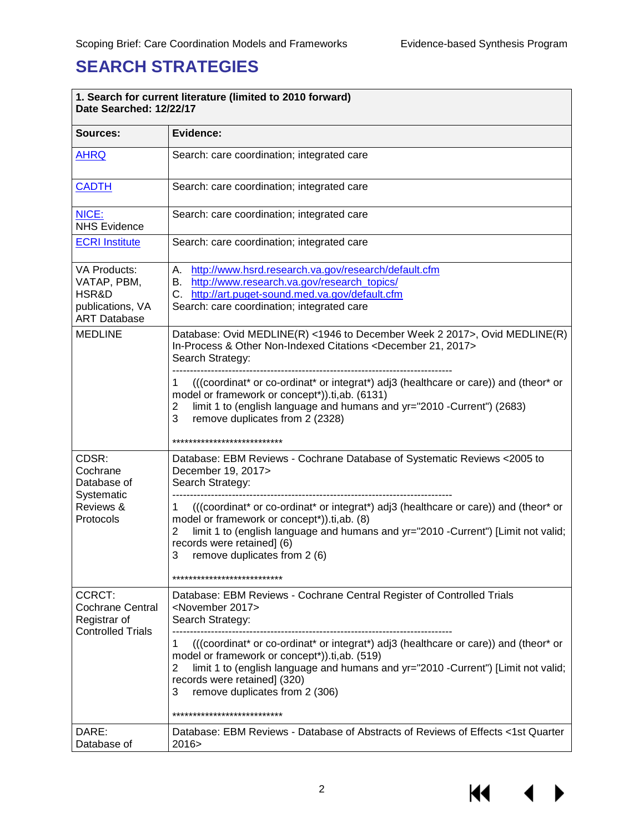$\overline{\phantom{a}}$ 

#### <span id="page-2-0"></span>**SEARCH STRATEGIES**

r

| 1. Search for current literature (limited to 2010 forward)<br>Date Searched: 12/22/17  |                                                                                                                                                                                                                                                                                                             |  |  |  |  |
|----------------------------------------------------------------------------------------|-------------------------------------------------------------------------------------------------------------------------------------------------------------------------------------------------------------------------------------------------------------------------------------------------------------|--|--|--|--|
| Sources:                                                                               | Evidence:                                                                                                                                                                                                                                                                                                   |  |  |  |  |
| <b>AHRQ</b>                                                                            | Search: care coordination; integrated care                                                                                                                                                                                                                                                                  |  |  |  |  |
| <b>CADTH</b>                                                                           | Search: care coordination; integrated care                                                                                                                                                                                                                                                                  |  |  |  |  |
| NICE:<br><b>NHS Evidence</b>                                                           | Search: care coordination; integrated care                                                                                                                                                                                                                                                                  |  |  |  |  |
| <b>ECRI Institute</b>                                                                  | Search: care coordination; integrated care                                                                                                                                                                                                                                                                  |  |  |  |  |
| <b>VA Products:</b><br>VATAP, PBM,<br>HSR&D<br>publications, VA<br><b>ART Database</b> | A. http://www.hsrd.research.va.gov/research/default.cfm<br>B. http://www.research.va.gov/research_topics/<br>C. http://art.puget-sound.med.va.gov/default.cfm<br>Search: care coordination; integrated care                                                                                                 |  |  |  |  |
| <b>MEDLINE</b>                                                                         | Database: Ovid MEDLINE(R) <1946 to December Week 2 2017>, Ovid MEDLINE(R)<br>In-Process & Other Non-Indexed Citations <december 2017="" 21,=""><br/>Search Strategy:</december>                                                                                                                             |  |  |  |  |
|                                                                                        | ((coordinat* or co-ordinat* or integrat*) adj3 (healthcare or care)) and (theor* or<br>1<br>model or framework or concept*)).ti,ab. (6131)<br>limit 1 to (english language and humans and yr="2010 -Current") (2683)<br>$\overline{2}$<br>3<br>remove duplicates from 2 (2328)                              |  |  |  |  |
|                                                                                        | ***************************                                                                                                                                                                                                                                                                                 |  |  |  |  |
| CDSR:<br>Cochrane<br>Database of<br>Systematic<br>Reviews &<br>Protocols               | Database: EBM Reviews - Cochrane Database of Systematic Reviews < 2005 to<br>December 19, 2017><br>Search Strategy:                                                                                                                                                                                         |  |  |  |  |
|                                                                                        | (((coordinat* or co-ordinat* or integrat*) adj3 (healthcare or care)) and (theor* or<br>1<br>model or framework or concept*)).ti,ab. (8)<br>limit 1 to (english language and humans and yr="2010 -Current") [Limit not valid;<br>2<br>records were retained] (6)<br>remove duplicates from 2 (6)<br>3       |  |  |  |  |
|                                                                                        | ***************************                                                                                                                                                                                                                                                                                 |  |  |  |  |
| CCRCT:<br><b>Cochrane Central</b><br>Registrar of<br><b>Controlled Trials</b>          | Database: EBM Reviews - Cochrane Central Register of Controlled Trials<br><november 2017=""><br/>Search Strategy:</november>                                                                                                                                                                                |  |  |  |  |
|                                                                                        | (((coordinat* or co-ordinat* or integrat*) adj3 (healthcare or care)) and (theor* or<br>1<br>model or framework or concept*)).ti,ab. (519)<br>limit 1 to (english language and humans and yr="2010 -Current") [Limit not valid;<br>2<br>records were retained] (320)<br>3<br>remove duplicates from 2 (306) |  |  |  |  |
|                                                                                        | ***************************                                                                                                                                                                                                                                                                                 |  |  |  |  |
| DARE:<br>Database of                                                                   | Database: EBM Reviews - Database of Abstracts of Reviews of Effects <1st Quarter<br>2016>                                                                                                                                                                                                                   |  |  |  |  |

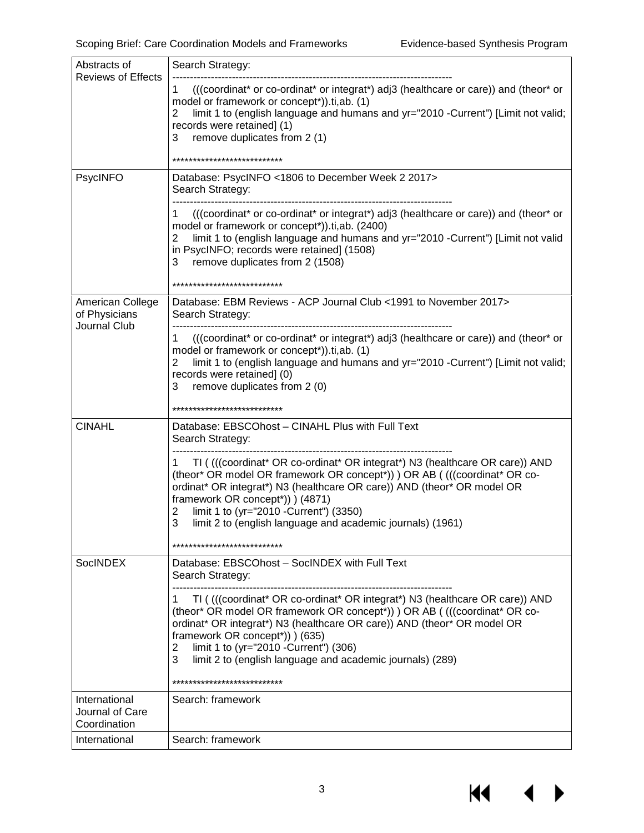$M \rightarrow$ 

| Abstracts of<br><b>Reviews of Effects</b>         | Search Strategy:                                                                                                                                                                                                                                                                                                                                                                                                         |
|---------------------------------------------------|--------------------------------------------------------------------------------------------------------------------------------------------------------------------------------------------------------------------------------------------------------------------------------------------------------------------------------------------------------------------------------------------------------------------------|
|                                                   | (((coordinat* or co-ordinat* or integrat*) adj3 (healthcare or care)) and (theor* or<br>1.<br>model or framework or concept*)).ti,ab. (1)<br>limit 1 to (english language and humans and yr="2010 -Current") [Limit not valid;<br>2<br>records were retained] (1)<br>remove duplicates from 2 (1)<br>3                                                                                                                   |
|                                                   | ***************************                                                                                                                                                                                                                                                                                                                                                                                              |
| PsycINFO                                          | Database: PsycINFO <1806 to December Week 2 2017><br>Search Strategy:                                                                                                                                                                                                                                                                                                                                                    |
|                                                   | (((coordinat* or co-ordinat* or integrat*) adj3 (healthcare or care)) and (theor* or<br>1<br>model or framework or concept*)).ti,ab. (2400)<br>limit 1 to (english language and humans and yr="2010 -Current") [Limit not valid<br>2<br>in PsycINFO; records were retained] (1508)<br>remove duplicates from 2 (1508)<br>3                                                                                               |
|                                                   | ***************************                                                                                                                                                                                                                                                                                                                                                                                              |
| American College<br>of Physicians<br>Journal Club | Database: EBM Reviews - ACP Journal Club <1991 to November 2017><br>Search Strategy:                                                                                                                                                                                                                                                                                                                                     |
|                                                   | ((coordinat* or co-ordinat* or integrat*) adj3 (healthcare or care)) and (theor* or<br>1<br>model or framework or concept*)).ti,ab. (1)<br>limit 1 to (english language and humans and yr="2010 -Current") [Limit not valid;<br>2<br>records were retained] (0)<br>3<br>remove duplicates from 2 (0)<br>***************************                                                                                      |
| <b>CINAHL</b>                                     | Database: EBSCOhost - CINAHL Plus with Full Text<br>Search Strategy:                                                                                                                                                                                                                                                                                                                                                     |
|                                                   | TI ((((coordinat* OR co-ordinat* OR integrat*) N3 (healthcare OR care)) AND<br>1<br>(theor* OR model OR framework OR concept*)) ) OR AB ( (((coordinat* OR co-<br>ordinat* OR integrat*) N3 (healthcare OR care)) AND (theor* OR model OR<br>framework OR concept*)) ) (4871)<br>limit 1 to (yr="2010 -Current") (3350)<br>2<br>3<br>limit 2 to (english language and academic journals) (1961)                          |
|                                                   | ***************************                                                                                                                                                                                                                                                                                                                                                                                              |
| <b>SocINDEX</b>                                   | Database: EBSCOhost - SocINDEX with Full Text<br>Search Strategy:                                                                                                                                                                                                                                                                                                                                                        |
|                                                   | TI ((((coordinat* OR co-ordinat* OR integrat*) N3 (healthcare OR care)) AND<br>1<br>(theor* OR model OR framework OR concept*)) ) OR AB (((coordinat* OR co-<br>ordinat* OR integrat*) N3 (healthcare OR care)) AND (theor* OR model OR<br>framework OR concept*)) (635)<br>limit 1 to (yr="2010 - Current") (306)<br>2<br>3<br>limit 2 to (english language and academic journals) (289)<br>*************************** |
| International<br>Journal of Care<br>Coordination  | Search: framework                                                                                                                                                                                                                                                                                                                                                                                                        |
| International                                     | Search: framework                                                                                                                                                                                                                                                                                                                                                                                                        |

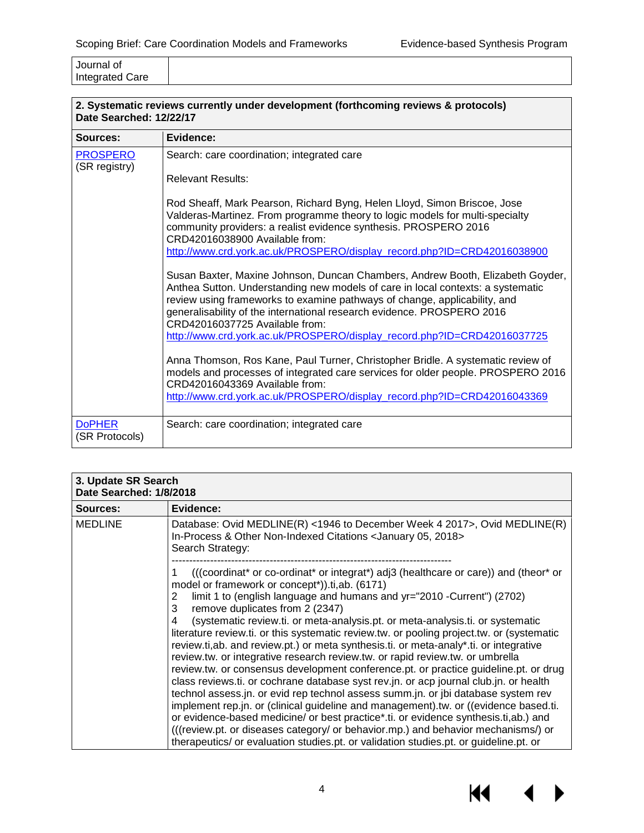| Journal of             |  |
|------------------------|--|
| <b>Integrated Care</b> |  |

| Date Searched: 12/22/17          | 2. Systematic reviews currently under development (forthcoming reviews & protocols)                                                                                                                                                                                                                                                                                                                                                   |
|----------------------------------|---------------------------------------------------------------------------------------------------------------------------------------------------------------------------------------------------------------------------------------------------------------------------------------------------------------------------------------------------------------------------------------------------------------------------------------|
| Sources:                         | Evidence:                                                                                                                                                                                                                                                                                                                                                                                                                             |
| <b>PROSPERO</b><br>(SR registry) | Search: care coordination; integrated care                                                                                                                                                                                                                                                                                                                                                                                            |
|                                  | <b>Relevant Results:</b>                                                                                                                                                                                                                                                                                                                                                                                                              |
|                                  | Rod Sheaff, Mark Pearson, Richard Byng, Helen Lloyd, Simon Briscoe, Jose<br>Valderas-Martinez. From programme theory to logic models for multi-specialty<br>community providers: a realist evidence synthesis. PROSPERO 2016<br>CRD42016038900 Available from:                                                                                                                                                                        |
|                                  | http://www.crd.york.ac.uk/PROSPERO/display_record.php?ID=CRD42016038900                                                                                                                                                                                                                                                                                                                                                               |
|                                  | Susan Baxter, Maxine Johnson, Duncan Chambers, Andrew Booth, Elizabeth Goyder,<br>Anthea Sutton. Understanding new models of care in local contexts: a systematic<br>review using frameworks to examine pathways of change, applicability, and<br>generalisability of the international research evidence. PROSPERO 2016<br>CRD42016037725 Available from:<br>http://www.crd.york.ac.uk/PROSPERO/display_record.php?ID=CRD42016037725 |
|                                  | Anna Thomson, Ros Kane, Paul Turner, Christopher Bridle. A systematic review of<br>models and processes of integrated care services for older people. PROSPERO 2016<br>CRD42016043369 Available from:<br>http://www.crd.york.ac.uk/PROSPERO/display_record.php?ID=CRD42016043369                                                                                                                                                      |
| <b>DoPHER</b><br>(SR Protocols)  | Search: care coordination; integrated care                                                                                                                                                                                                                                                                                                                                                                                            |

| 3. Update SR Search |  |  |  |  |  |  |  |
|---------------------|--|--|--|--|--|--|--|
|                     |  |  |  |  |  |  |  |

| Date Searched: 1/8/2018 |                                                                                                                                                                                                                                                                                                                                                                                                                                                                                                                                                                                                                                                                                                                                                                                                                                                                                                                                                                                                                                                                                                                                                                                                                                                                |  |  |  |  |
|-------------------------|----------------------------------------------------------------------------------------------------------------------------------------------------------------------------------------------------------------------------------------------------------------------------------------------------------------------------------------------------------------------------------------------------------------------------------------------------------------------------------------------------------------------------------------------------------------------------------------------------------------------------------------------------------------------------------------------------------------------------------------------------------------------------------------------------------------------------------------------------------------------------------------------------------------------------------------------------------------------------------------------------------------------------------------------------------------------------------------------------------------------------------------------------------------------------------------------------------------------------------------------------------------|--|--|--|--|
| Sources:                | Evidence:                                                                                                                                                                                                                                                                                                                                                                                                                                                                                                                                                                                                                                                                                                                                                                                                                                                                                                                                                                                                                                                                                                                                                                                                                                                      |  |  |  |  |
| <b>MEDLINE</b>          | Database: Ovid MEDLINE(R) <1946 to December Week 4 2017>, Ovid MEDLINE(R)<br>In-Process & Other Non-Indexed Citations < January 05, 2018><br>Search Strategy:                                                                                                                                                                                                                                                                                                                                                                                                                                                                                                                                                                                                                                                                                                                                                                                                                                                                                                                                                                                                                                                                                                  |  |  |  |  |
|                         | (((coordinat* or co-ordinat* or integrat*) adj3 (healthcare or care)) and (theor* or<br>model or framework or concept*)).ti,ab. (6171)<br>limit 1 to (english language and humans and yr="2010 -Current") (2702)<br>2<br>remove duplicates from 2 (2347)<br>3<br>(systematic review.ti. or meta-analysis.pt. or meta-analysis.ti. or systematic<br>4<br>literature review.ti. or this systematic review.tw. or pooling project.tw. or (systematic<br>review.ti,ab. and review.pt.) or meta synthesis.ti. or meta-analy*.ti. or integrative<br>review.tw. or integrative research review.tw. or rapid review.tw. or umbrella<br>review.tw. or consensus development conference.pt. or practice guideline.pt. or drug<br>class reviews.ti. or cochrane database syst rev.jn. or acp journal club.jn. or health<br>technol assess.jn. or evid rep technol assess summ.jn. or jbi database system rev<br>implement rep.jn. or (clinical guideline and management).tw. or ((evidence based.ti.<br>or evidence-based medicine/ or best practice*.ti. or evidence synthesis.ti,ab.) and<br>(((review.pt. or diseases category/ or behavior.mp.) and behavior mechanisms/) or<br>therapeutics/ or evaluation studies.pt. or validation studies.pt. or guideline.pt. or |  |  |  |  |

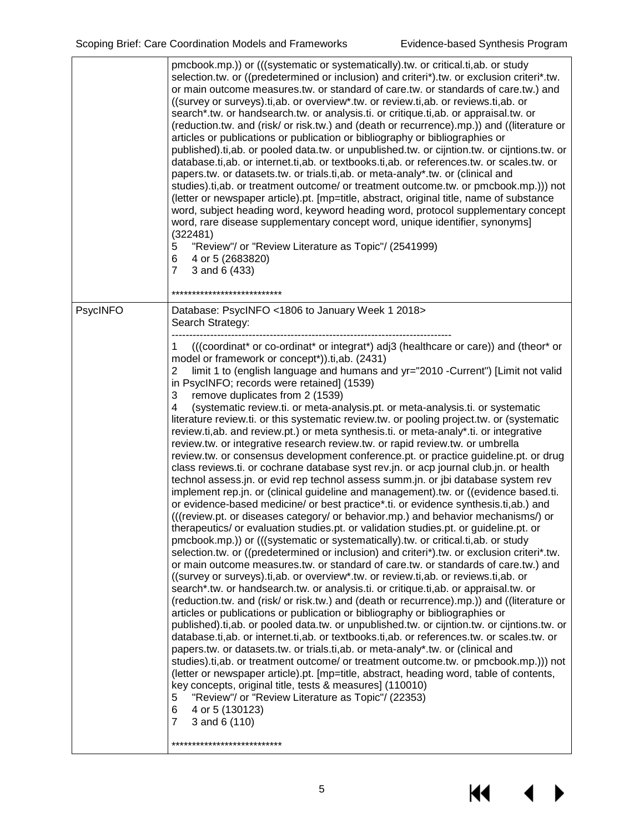KI

|          | pmcbook.mp.)) or (((systematic or systematically).tw. or critical.ti, ab. or study<br>selection.tw. or ((predetermined or inclusion) and criteri*).tw. or exclusion criteri*.tw.<br>or main outcome measures.tw. or standard of care.tw. or standards of care.tw.) and<br>((survey or surveys) ti, ab. or overview* tw. or review ti, ab. or reviews ti, ab. or<br>search*.tw. or handsearch.tw. or analysis.ti. or critique.ti, ab. or appraisal.tw. or<br>(reduction.tw. and (risk/ or risk.tw.) and (death or recurrence).mp.)) and ((literature or<br>articles or publications or publication or bibliography or bibliographies or<br>published).ti,ab. or pooled data.tw. or unpublished.tw. or cijntion.tw. or cijntions.tw. or<br>database.ti,ab. or internet.ti,ab. or textbooks.ti,ab. or references.tw. or scales.tw. or<br>papers.tw. or datasets.tw. or trials.ti, ab. or meta-analy*.tw. or (clinical and<br>studies).ti,ab. or treatment outcome/ or treatment outcome.tw. or pmcbook.mp.))) not<br>(letter or newspaper article).pt. [mp=title, abstract, original title, name of substance<br>word, subject heading word, keyword heading word, protocol supplementary concept<br>word, rare disease supplementary concept word, unique identifier, synonyms]<br>(322481)<br>"Review"/ or "Review Literature as Topic"/ (2541999)<br>5<br>4 or 5 (2683820)<br>6<br>$\overline{7}$<br>3 and 6 (433)<br>***************************                                                                                                                                                                                                                                                                                                                                                                                                                                                                                                                                                                                                                                                                                                                                                                                                                                                                                                                                                                                                                                                                                                                                                                                                    |
|----------|------------------------------------------------------------------------------------------------------------------------------------------------------------------------------------------------------------------------------------------------------------------------------------------------------------------------------------------------------------------------------------------------------------------------------------------------------------------------------------------------------------------------------------------------------------------------------------------------------------------------------------------------------------------------------------------------------------------------------------------------------------------------------------------------------------------------------------------------------------------------------------------------------------------------------------------------------------------------------------------------------------------------------------------------------------------------------------------------------------------------------------------------------------------------------------------------------------------------------------------------------------------------------------------------------------------------------------------------------------------------------------------------------------------------------------------------------------------------------------------------------------------------------------------------------------------------------------------------------------------------------------------------------------------------------------------------------------------------------------------------------------------------------------------------------------------------------------------------------------------------------------------------------------------------------------------------------------------------------------------------------------------------------------------------------------------------------------------------------------------------------------------------------------------------------------------------------------------------------------------------------------------------------------------------------------------------------------------------------------------------------------------------------------------------------------------------------------------------------------------------------------------------------------------------------------------------------------------------------------------------------------------------------|
| PsycINFO | Database: PsycINFO <1806 to January Week 1 2018><br>Search Strategy:                                                                                                                                                                                                                                                                                                                                                                                                                                                                                                                                                                                                                                                                                                                                                                                                                                                                                                                                                                                                                                                                                                                                                                                                                                                                                                                                                                                                                                                                                                                                                                                                                                                                                                                                                                                                                                                                                                                                                                                                                                                                                                                                                                                                                                                                                                                                                                                                                                                                                                                                                                                 |
|          | ((coordinat* or co-ordinat* or integrat*) adj3 (healthcare or care)) and (theor* or<br>1<br>model or framework or concept*)).ti,ab. (2431)<br>2<br>limit 1 to (english language and humans and yr="2010 -Current") [Limit not valid<br>in PsycINFO; records were retained] (1539)<br>remove duplicates from 2 (1539)<br>3<br>4<br>(systematic review.ti. or meta-analysis.pt. or meta-analysis.ti. or systematic<br>literature review.ti. or this systematic review.tw. or pooling project.tw. or (systematic<br>review.ti,ab. and review.pt.) or meta synthesis.ti. or meta-analy*.ti. or integrative<br>review.tw. or integrative research review.tw. or rapid review.tw. or umbrella<br>review.tw. or consensus development conference.pt. or practice guideline.pt. or drug<br>class reviews.ti. or cochrane database syst rev.jn. or acp journal club.jn. or health<br>technol assess.jn. or evid rep technol assess summ.jn. or jbi database system rev<br>implement rep.jn. or (clinical guideline and management).tw. or ((evidence based.ti.<br>or evidence-based medicine/ or best practice*.ti. or evidence synthesis.ti,ab.) and<br>(((review.pt. or diseases category/ or behavior.mp.) and behavior mechanisms/) or<br>therapeutics/ or evaluation studies.pt. or validation studies.pt. or guideline.pt. or<br>pmcbook.mp.)) or (((systematic or systematically).tw. or critical.ti, ab. or study<br>selection.tw. or ((predetermined or inclusion) and criteri*).tw. or exclusion criteri*.tw.<br>or main outcome measures.tw. or standard of care.tw. or standards of care.tw.) and<br>((survey or surveys).ti,ab. or overview*.tw. or review.ti,ab. or reviews.ti,ab. or<br>search*.tw. or handsearch.tw. or analysis.ti. or critique.ti,ab. or appraisal.tw. or<br>(reduction.tw. and (risk/ or risk.tw.) and (death or recurrence).mp.)) and ((literature or<br>articles or publications or publication or bibliography or bibliographies or<br>published).ti,ab. or pooled data.tw. or unpublished.tw. or cijntion.tw. or cijntions.tw. or<br>database.ti,ab. or internet.ti,ab. or textbooks.ti,ab. or references.tw. or scales.tw. or<br>papers.tw. or datasets.tw. or trials.ti, ab. or meta-analy*.tw. or (clinical and<br>studies).ti,ab. or treatment outcome/ or treatment outcome.tw. or pmcbook.mp.))) not<br>(letter or newspaper article).pt. [mp=title, abstract, heading word, table of contents,<br>key concepts, original title, tests & measures] (110010)<br>"Review"/ or "Review Literature as Topic"/ (22353)<br>5<br>4 or 5 (130123)<br>6<br>$\overline{7}$<br>3 and 6 (110)<br>*************************** |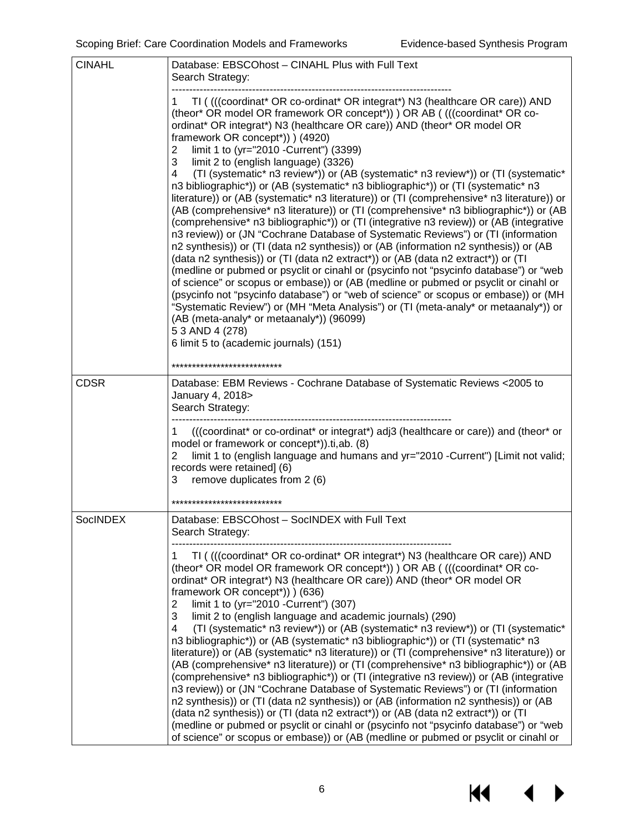14

 $\blacktriangleright$ 

| <b>CINAHL</b>   | Database: EBSCOhost - CINAHL Plus with Full Text<br>Search Strategy:                                                                                                                                                                                                                                                                                                                                                                                                                                                                                                                                                                                                                                                                                                                                                                                                                                                                                                                                                                                                                                                                                                                                                                                                                                                                                                                                                                                                                                                                                                                                             |  |  |  |  |
|-----------------|------------------------------------------------------------------------------------------------------------------------------------------------------------------------------------------------------------------------------------------------------------------------------------------------------------------------------------------------------------------------------------------------------------------------------------------------------------------------------------------------------------------------------------------------------------------------------------------------------------------------------------------------------------------------------------------------------------------------------------------------------------------------------------------------------------------------------------------------------------------------------------------------------------------------------------------------------------------------------------------------------------------------------------------------------------------------------------------------------------------------------------------------------------------------------------------------------------------------------------------------------------------------------------------------------------------------------------------------------------------------------------------------------------------------------------------------------------------------------------------------------------------------------------------------------------------------------------------------------------------|--|--|--|--|
|                 | TI ((((coordinat* OR co-ordinat* OR integrat*) N3 (healthcare OR care)) AND<br>(theor* OR model OR framework OR concept*)) ) OR AB ( (((coordinat* OR co-<br>ordinat* OR integrat*) N3 (healthcare OR care)) AND (theor* OR model OR<br>framework OR concept*)) ) (4920)<br>limit 1 to (yr="2010 - Current") (3399)<br>2<br>3<br>limit 2 to (english language) (3326)<br>(TI (systematic* n3 review*)) or (AB (systematic* n3 review*)) or (TI (systematic*<br>4<br>n3 bibliographic*)) or (AB (systematic* n3 bibliographic*)) or (TI (systematic* n3<br>literature)) or (AB (systematic* n3 literature)) or (TI (comprehensive* n3 literature)) or<br>(AB (comprehensive* n3 literature)) or (TI (comprehensive* n3 bibliographic*)) or (AB<br>(comprehensive* n3 bibliographic*)) or (TI (integrative n3 review)) or (AB (integrative<br>n3 review)) or (JN "Cochrane Database of Systematic Reviews") or (TI (information<br>n2 synthesis)) or (TI (data n2 synthesis)) or (AB (information n2 synthesis)) or (AB<br>(data n2 synthesis)) or (TI (data n2 extract*)) or (AB (data n2 extract*)) or (TI<br>(medline or pubmed or psyclit or cinahl or (psycinfo not "psycinfo database") or "web<br>of science" or scopus or embase)) or (AB (medline or pubmed or psyclit or cinahl or<br>(psycinfo not "psycinfo database") or "web of science" or scopus or embase)) or (MH<br>"Systematic Review") or (MH "Meta Analysis") or (TI (meta-analy* or metaanaly*)) or<br>(AB (meta-analy* or metaanaly*)) (96099)<br>5 3 AND 4 (278)<br>6 limit 5 to (academic journals) (151)<br>*************************** |  |  |  |  |
| <b>CDSR</b>     | Database: EBM Reviews - Cochrane Database of Systematic Reviews < 2005 to                                                                                                                                                                                                                                                                                                                                                                                                                                                                                                                                                                                                                                                                                                                                                                                                                                                                                                                                                                                                                                                                                                                                                                                                                                                                                                                                                                                                                                                                                                                                        |  |  |  |  |
|                 | January 4, 2018><br>Search Strategy:                                                                                                                                                                                                                                                                                                                                                                                                                                                                                                                                                                                                                                                                                                                                                                                                                                                                                                                                                                                                                                                                                                                                                                                                                                                                                                                                                                                                                                                                                                                                                                             |  |  |  |  |
|                 | (((coordinat* or co-ordinat* or integrat*) adj3 (healthcare or care)) and (theor* or<br>1<br>model or framework or concept*)).ti,ab. (8)<br>limit 1 to (english language and humans and yr="2010 -Current") [Limit not valid;<br>2<br>records were retained] (6)<br>remove duplicates from 2 (6)<br>3                                                                                                                                                                                                                                                                                                                                                                                                                                                                                                                                                                                                                                                                                                                                                                                                                                                                                                                                                                                                                                                                                                                                                                                                                                                                                                            |  |  |  |  |
|                 | **************************                                                                                                                                                                                                                                                                                                                                                                                                                                                                                                                                                                                                                                                                                                                                                                                                                                                                                                                                                                                                                                                                                                                                                                                                                                                                                                                                                                                                                                                                                                                                                                                       |  |  |  |  |
| <b>SocINDEX</b> | Database: EBSCOhost - SocINDEX with Full Text<br>Search Strategy:                                                                                                                                                                                                                                                                                                                                                                                                                                                                                                                                                                                                                                                                                                                                                                                                                                                                                                                                                                                                                                                                                                                                                                                                                                                                                                                                                                                                                                                                                                                                                |  |  |  |  |
|                 | TI ((((coordinat* OR co-ordinat* OR integrat*) N3 (healthcare OR care)) AND<br>1<br>(theor* OR model OR framework OR concept*)) ) OR AB ( (((coordinat* OR co-<br>ordinat* OR integrat*) N3 (healthcare OR care)) AND (theor* OR model OR<br>framework OR concept*)) ) (636)<br>limit 1 to (yr="2010 - Current") (307)<br>2<br>3<br>limit 2 to (english language and academic journals) (290)<br>(TI (systematic* n3 review*)) or (AB (systematic* n3 review*)) or (TI (systematic*<br>4<br>n3 bibliographic*)) or (AB (systematic* n3 bibliographic*)) or (TI (systematic* n3<br>literature)) or (AB (systematic* n3 literature)) or (TI (comprehensive* n3 literature)) or<br>(AB (comprehensive* n3 literature)) or (TI (comprehensive* n3 bibliographic*)) or (AB<br>(comprehensive* n3 bibliographic*)) or (TI (integrative n3 review)) or (AB (integrative<br>n3 review)) or (JN "Cochrane Database of Systematic Reviews") or (TI (information<br>n2 synthesis)) or (TI (data n2 synthesis)) or (AB (information n2 synthesis)) or (AB<br>(data n2 synthesis)) or (TI (data n2 extract*)) or (AB (data n2 extract*)) or (TI<br>(medline or pubmed or psyclit or cinahl or (psycinfo not "psycinfo database") or "web<br>of science" or scopus or embase)) or (AB (medline or pubmed or psyclit or cinahl or                                                                                                                                                                                                                                                                                               |  |  |  |  |

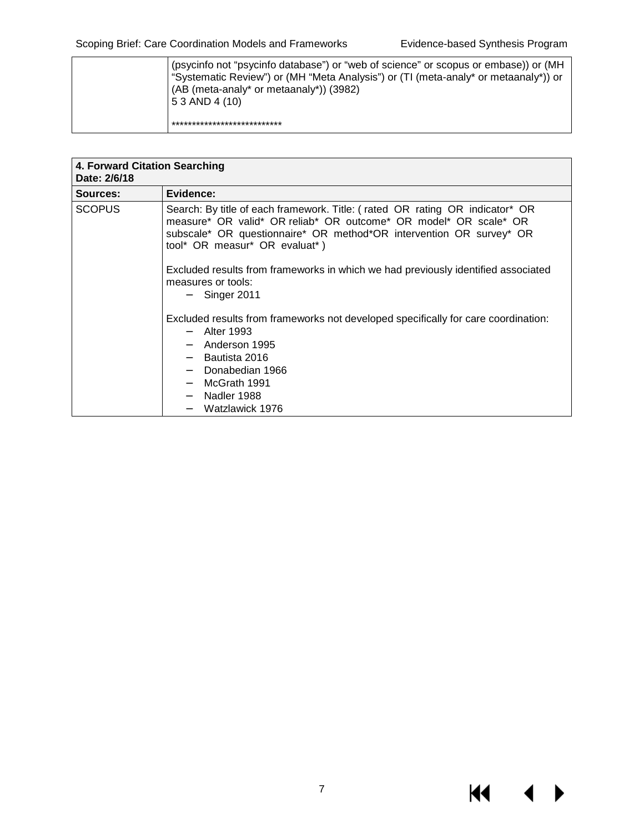**K4** 

| (psycinfo not "psycinfo database") or "web of science" or scopus or embase)) or (MH<br>"Systematic Review") or (MH "Meta Analysis") or (TI (meta-analy* or metaanaly*)) or<br>(AB (meta-analy* or metaanaly*)) (3982)<br>5 3 AND 4 (10) |
|-----------------------------------------------------------------------------------------------------------------------------------------------------------------------------------------------------------------------------------------|
| ***************************                                                                                                                                                                                                             |

| 4. Forward Citation Searching<br>Date: 2/6/18 |                                                                                                                                                                                                                                                          |  |  |  |  |
|-----------------------------------------------|----------------------------------------------------------------------------------------------------------------------------------------------------------------------------------------------------------------------------------------------------------|--|--|--|--|
| <b>Sources:</b>                               | Evidence:                                                                                                                                                                                                                                                |  |  |  |  |
| <b>SCOPUS</b>                                 | Search: By title of each framework. Title: (rated OR rating OR indicator* OR<br>measure* OR valid* OR reliab* OR outcome* OR model* OR scale* OR<br>subscale* OR questionnaire* OR method*OR intervention OR survey* OR<br>tool* OR measur* OR evaluat*) |  |  |  |  |
|                                               | Excluded results from frameworks in which we had previously identified associated<br>measures or tools:<br>Singer 2011                                                                                                                                   |  |  |  |  |
|                                               | Excluded results from frameworks not developed specifically for care coordination:<br>Alter 1993<br>$\sim$<br>Anderson 1995<br>$\sim$ 100 $\sim$<br>Bautista 2016<br>Donabedian 1966<br>۰.<br>McGrath 1991<br>Nadler 1988<br>Watzlawick 1976             |  |  |  |  |

7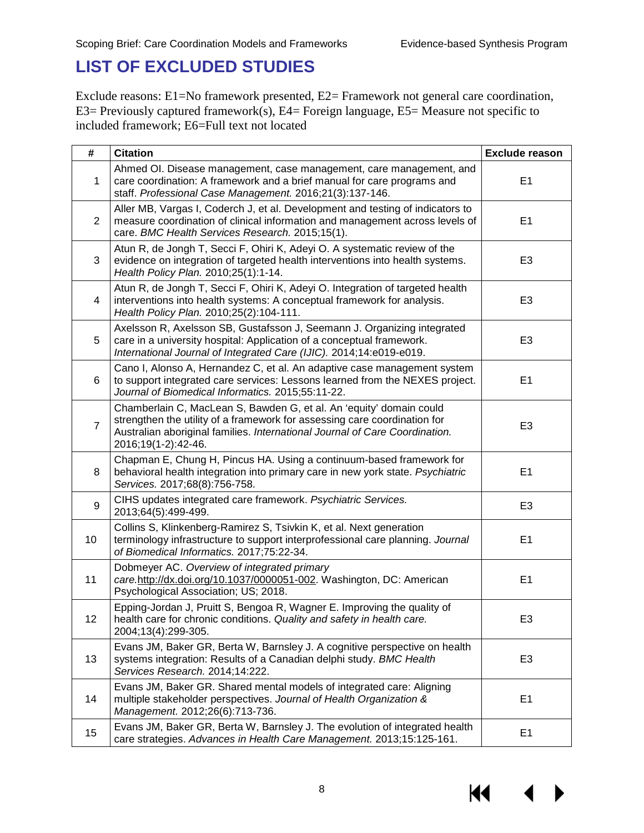#### <span id="page-8-0"></span>**LIST OF EXCLUDED STUDIES**

Exclude reasons: E1=No framework presented, E2= Framework not general care coordination, E3= Previously captured framework(s), E4= Foreign language, E5= Measure not specific to included framework; E6=Full text not located

| #              | <b>Citation</b>                                                                                                                                                                                                                                        | <b>Exclude reason</b> |
|----------------|--------------------------------------------------------------------------------------------------------------------------------------------------------------------------------------------------------------------------------------------------------|-----------------------|
| $\mathbf 1$    | Ahmed OI. Disease management, case management, care management, and<br>care coordination: A framework and a brief manual for care programs and<br>staff. Professional Case Management. 2016;21(3):137-146.                                             | E <sub>1</sub>        |
| $\overline{2}$ | Aller MB, Vargas I, Coderch J, et al. Development and testing of indicators to<br>measure coordination of clinical information and management across levels of<br>care. BMC Health Services Research. 2015;15(1).                                      | E <sub>1</sub>        |
| 3              | Atun R, de Jongh T, Secci F, Ohiri K, Adeyi O. A systematic review of the<br>evidence on integration of targeted health interventions into health systems.<br>Health Policy Plan. 2010;25(1):1-14.                                                     | E <sub>3</sub>        |
| 4              | Atun R, de Jongh T, Secci F, Ohiri K, Adeyi O. Integration of targeted health<br>interventions into health systems: A conceptual framework for analysis.<br>Health Policy Plan. 2010;25(2):104-111.                                                    | E <sub>3</sub>        |
| 5              | Axelsson R, Axelsson SB, Gustafsson J, Seemann J. Organizing integrated<br>care in a university hospital: Application of a conceptual framework.<br>International Journal of Integrated Care (IJIC). 2014;14:e019-e019.                                | E <sub>3</sub>        |
| 6              | Cano I, Alonso A, Hernandez C, et al. An adaptive case management system<br>to support integrated care services: Lessons learned from the NEXES project.<br>Journal of Biomedical Informatics. 2015;55:11-22.                                          | E1                    |
| $\overline{7}$ | Chamberlain C, MacLean S, Bawden G, et al. An 'equity' domain could<br>strengthen the utility of a framework for assessing care coordination for<br>Australian aboriginal families. International Journal of Care Coordination.<br>2016;19(1-2):42-46. | E <sub>3</sub>        |
| 8              | Chapman E, Chung H, Pincus HA. Using a continuum-based framework for<br>behavioral health integration into primary care in new york state. Psychiatric<br>Services. 2017;68(8):756-758.                                                                | E1                    |
| 9              | CIHS updates integrated care framework. Psychiatric Services.<br>2013;64(5):499-499.                                                                                                                                                                   | E <sub>3</sub>        |
| 10             | Collins S, Klinkenberg-Ramirez S, Tsivkin K, et al. Next generation<br>terminology infrastructure to support interprofessional care planning. Journal<br>of Biomedical Informatics. 2017;75:22-34.                                                     | E1                    |
| 11             | Dobmeyer AC. Overview of integrated primary<br>care.http://dx.doi.org/10.1037/0000051-002. Washington, DC: American<br>Psychological Association; US; 2018.                                                                                            | E <sub>1</sub>        |
| 12             | Epping-Jordan J, Pruitt S, Bengoa R, Wagner E. Improving the quality of<br>health care for chronic conditions. Quality and safety in health care.<br>2004;13(4):299-305.                                                                               | E <sub>3</sub>        |
| 13             | Evans JM, Baker GR, Berta W, Barnsley J. A cognitive perspective on health<br>systems integration: Results of a Canadian delphi study. BMC Health<br>Services Research. 2014;14:222.                                                                   | E <sub>3</sub>        |
| 14             | Evans JM, Baker GR. Shared mental models of integrated care: Aligning<br>multiple stakeholder perspectives. Journal of Health Organization &<br>Management. 2012;26(6):713-736.                                                                        | E1                    |
| 15             | Evans JM, Baker GR, Berta W, Barnsley J. The evolution of integrated health<br>care strategies. Advances in Health Care Management. 2013;15:125-161.                                                                                                   | E <sub>1</sub>        |

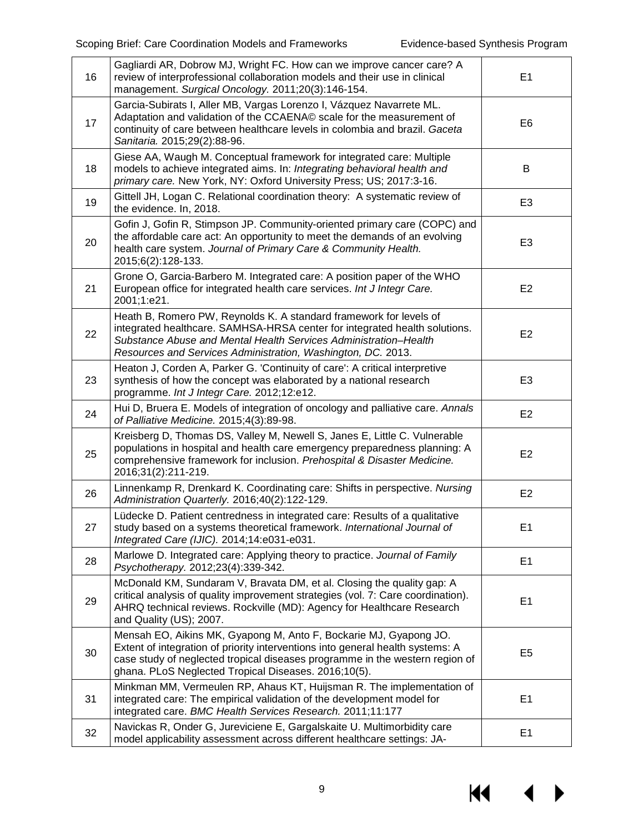| 16 | Gagliardi AR, Dobrow MJ, Wright FC. How can we improve cancer care? A<br>review of interprofessional collaboration models and their use in clinical<br>management. Surgical Oncology. 2011;20(3):146-154.                                                                                   | E1             |
|----|---------------------------------------------------------------------------------------------------------------------------------------------------------------------------------------------------------------------------------------------------------------------------------------------|----------------|
| 17 | Garcia-Subirats I, Aller MB, Vargas Lorenzo I, Vázquez Navarrete ML.<br>Adaptation and validation of the CCAENA© scale for the measurement of<br>continuity of care between healthcare levels in colombia and brazil. Gaceta<br>Sanitaria. 2015;29(2):88-96.                                | E <sub>6</sub> |
| 18 | Giese AA, Waugh M. Conceptual framework for integrated care: Multiple<br>models to achieve integrated aims. In: Integrating behavioral health and<br>primary care. New York, NY: Oxford University Press; US; 2017:3-16.                                                                    | B              |
| 19 | Gittell JH, Logan C. Relational coordination theory: A systematic review of<br>the evidence. In, 2018.                                                                                                                                                                                      | E <sub>3</sub> |
| 20 | Gofin J, Gofin R, Stimpson JP. Community-oriented primary care (COPC) and<br>the affordable care act: An opportunity to meet the demands of an evolving<br>health care system. Journal of Primary Care & Community Health.<br>2015;6(2):128-133.                                            | E <sub>3</sub> |
| 21 | Grone O, Garcia-Barbero M. Integrated care: A position paper of the WHO<br>European office for integrated health care services. Int J Integr Care.<br>2001;1:e21.                                                                                                                           | E <sub>2</sub> |
| 22 | Heath B, Romero PW, Reynolds K. A standard framework for levels of<br>integrated healthcare. SAMHSA-HRSA center for integrated health solutions.<br>Substance Abuse and Mental Health Services Administration–Health<br>Resources and Services Administration, Washington, DC. 2013.        | E <sub>2</sub> |
| 23 | Heaton J, Corden A, Parker G. 'Continuity of care': A critical interpretive<br>synthesis of how the concept was elaborated by a national research<br>programme. Int J Integr Care. 2012;12:e12.                                                                                             | E <sub>3</sub> |
| 24 | Hui D, Bruera E. Models of integration of oncology and palliative care. Annals<br>of Palliative Medicine. 2015;4(3):89-98.                                                                                                                                                                  | E <sub>2</sub> |
| 25 | Kreisberg D, Thomas DS, Valley M, Newell S, Janes E, Little C. Vulnerable<br>populations in hospital and health care emergency preparedness planning: A<br>comprehensive framework for inclusion. Prehospital & Disaster Medicine.<br>2016;31(2):211-219.                                   | E <sub>2</sub> |
| 26 | Linnenkamp R, Drenkard K. Coordinating care: Shifts in perspective. Nursing<br>Administration Quarterly. 2016;40(2):122-129.                                                                                                                                                                | E <sub>2</sub> |
| 27 | Lüdecke D. Patient centredness in integrated care: Results of a qualitative<br>study based on a systems theoretical framework. International Journal of<br>Integrated Care (IJIC). 2014;14:e031-e031.                                                                                       | E <sub>1</sub> |
| 28 | Marlowe D. Integrated care: Applying theory to practice. Journal of Family<br>Psychotherapy. 2012;23(4):339-342.                                                                                                                                                                            | E1             |
| 29 | McDonald KM, Sundaram V, Bravata DM, et al. Closing the quality gap: A<br>critical analysis of quality improvement strategies (vol. 7: Care coordination).<br>AHRQ technical reviews. Rockville (MD): Agency for Healthcare Research<br>and Quality (US); 2007.                             | E1             |
| 30 | Mensah EO, Aikins MK, Gyapong M, Anto F, Bockarie MJ, Gyapong JO.<br>Extent of integration of priority interventions into general health systems: A<br>case study of neglected tropical diseases programme in the western region of<br>ghana. PLoS Neglected Tropical Diseases. 2016;10(5). | E <sub>5</sub> |
| 31 | Minkman MM, Vermeulen RP, Ahaus KT, Huijsman R. The implementation of<br>integrated care: The empirical validation of the development model for<br>integrated care. BMC Health Services Research. 2011;11:177                                                                               | E1             |
| 32 | Navickas R, Onder G, Jureviciene E, Gargalskaite U. Multimorbidity care<br>model applicability assessment across different healthcare settings: JA-                                                                                                                                         | E <sub>1</sub> |

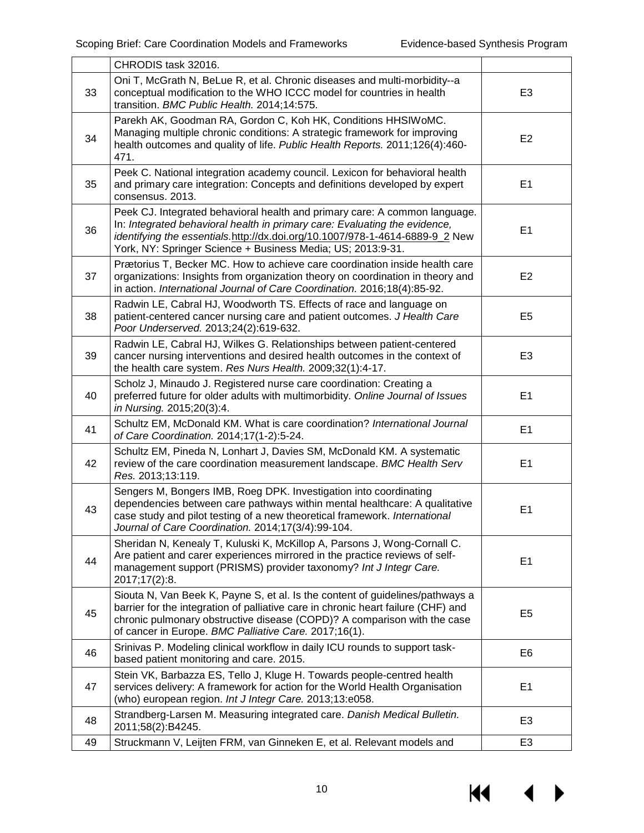|    | CHRODIS task 32016.                                                                                                                                                                                                                                                                                     |                |
|----|---------------------------------------------------------------------------------------------------------------------------------------------------------------------------------------------------------------------------------------------------------------------------------------------------------|----------------|
| 33 | Oni T, McGrath N, BeLue R, et al. Chronic diseases and multi-morbidity--a<br>conceptual modification to the WHO ICCC model for countries in health<br>transition. BMC Public Health. 2014;14:575.                                                                                                       | E <sub>3</sub> |
| 34 | Parekh AK, Goodman RA, Gordon C, Koh HK, Conditions HHSIWoMC.<br>Managing multiple chronic conditions: A strategic framework for improving<br>health outcomes and quality of life. Public Health Reports. 2011;126(4):460-<br>471.                                                                      | E <sub>2</sub> |
| 35 | Peek C. National integration academy council. Lexicon for behavioral health<br>and primary care integration: Concepts and definitions developed by expert<br>consensus. 2013.                                                                                                                           | E <sub>1</sub> |
| 36 | Peek CJ. Integrated behavioral health and primary care: A common language.<br>In: Integrated behavioral health in primary care: Evaluating the evidence,<br>identifying the essentials.http://dx.doi.org/10.1007/978-1-4614-6889-9_2 New<br>York, NY: Springer Science + Business Media; US; 2013:9-31. | E <sub>1</sub> |
| 37 | Prætorius T, Becker MC. How to achieve care coordination inside health care<br>organizations: Insights from organization theory on coordination in theory and<br>in action. International Journal of Care Coordination. 2016;18(4):85-92.                                                               | E <sub>2</sub> |
| 38 | Radwin LE, Cabral HJ, Woodworth TS. Effects of race and language on<br>patient-centered cancer nursing care and patient outcomes. J Health Care<br>Poor Underserved. 2013;24(2):619-632.                                                                                                                | E <sub>5</sub> |
| 39 | Radwin LE, Cabral HJ, Wilkes G. Relationships between patient-centered<br>cancer nursing interventions and desired health outcomes in the context of<br>the health care system. Res Nurs Health. 2009;32(1):4-17.                                                                                       | E <sub>3</sub> |
| 40 | Scholz J, Minaudo J. Registered nurse care coordination: Creating a<br>preferred future for older adults with multimorbidity. Online Journal of Issues<br>in Nursing. 2015;20(3):4.                                                                                                                     | E <sub>1</sub> |
| 41 | Schultz EM, McDonald KM. What is care coordination? International Journal<br>of Care Coordination. 2014;17(1-2):5-24.                                                                                                                                                                                   | E <sub>1</sub> |
| 42 | Schultz EM, Pineda N, Lonhart J, Davies SM, McDonald KM. A systematic<br>review of the care coordination measurement landscape. BMC Health Serv<br>Res. 2013;13:119.                                                                                                                                    | E <sub>1</sub> |
| 43 | Sengers M, Bongers IMB, Roeg DPK. Investigation into coordinating<br>dependencies between care pathways within mental healthcare: A qualitative<br>case study and pilot testing of a new theoretical framework. International<br>Journal of Care Coordination. 2014;17(3/4):99-104.                     | E1             |
| 44 | Sheridan N, Kenealy T, Kuluski K, McKillop A, Parsons J, Wong-Cornall C.<br>Are patient and carer experiences mirrored in the practice reviews of self-<br>management support (PRISMS) provider taxonomy? Int J Integr Care.<br>2017;17(2):8.                                                           | E <sub>1</sub> |
| 45 | Siouta N, Van Beek K, Payne S, et al. Is the content of guidelines/pathways a<br>barrier for the integration of palliative care in chronic heart failure (CHF) and<br>chronic pulmonary obstructive disease (COPD)? A comparison with the case<br>of cancer in Europe. BMC Palliative Care. 2017;16(1). | E <sub>5</sub> |
| 46 | Srinivas P. Modeling clinical workflow in daily ICU rounds to support task-<br>based patient monitoring and care. 2015.                                                                                                                                                                                 | E <sub>6</sub> |
| 47 | Stein VK, Barbazza ES, Tello J, Kluge H. Towards people-centred health<br>services delivery: A framework for action for the World Health Organisation<br>(who) european region. Int J Integr Care. 2013;13:e058.                                                                                        | E <sub>1</sub> |
| 48 | Strandberg-Larsen M. Measuring integrated care. Danish Medical Bulletin.<br>2011;58(2):B4245.                                                                                                                                                                                                           | E <sub>3</sub> |
| 49 | Struckmann V, Leijten FRM, van Ginneken E, et al. Relevant models and                                                                                                                                                                                                                                   | E <sub>3</sub> |

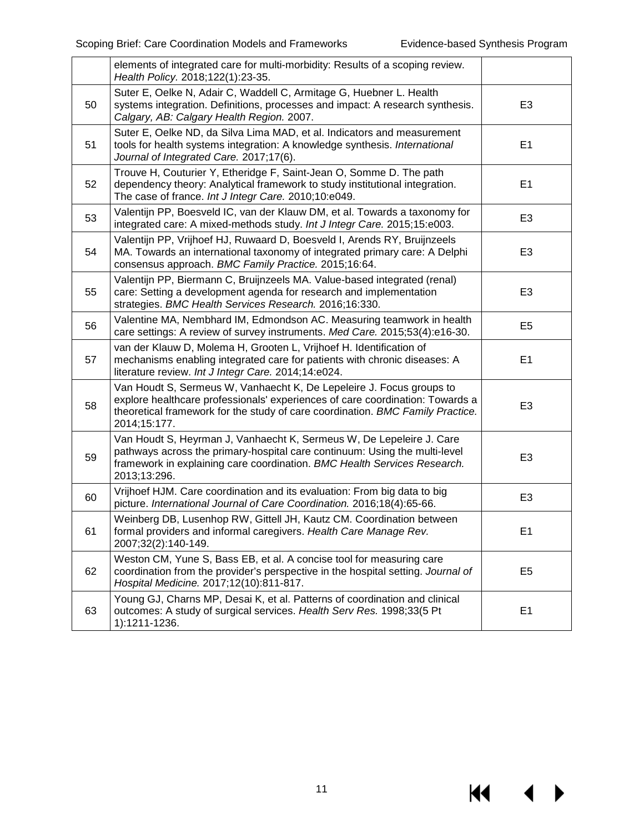$M \cdot 1$ 

 $\blacktriangleright$ 

|    | elements of integrated care for multi-morbidity: Results of a scoping review.<br>Health Policy. 2018;122(1):23-35.                                                                                                                                      |                |
|----|---------------------------------------------------------------------------------------------------------------------------------------------------------------------------------------------------------------------------------------------------------|----------------|
| 50 | Suter E, Oelke N, Adair C, Waddell C, Armitage G, Huebner L. Health<br>systems integration. Definitions, processes and impact: A research synthesis.<br>Calgary, AB: Calgary Health Region. 2007.                                                       | E <sub>3</sub> |
| 51 | Suter E, Oelke ND, da Silva Lima MAD, et al. Indicators and measurement<br>tools for health systems integration: A knowledge synthesis. International<br>Journal of Integrated Care. 2017;17(6).                                                        | E1             |
| 52 | Trouve H, Couturier Y, Etheridge F, Saint-Jean O, Somme D. The path<br>dependency theory: Analytical framework to study institutional integration.<br>The case of france. Int J Integr Care. 2010;10:e049.                                              | E1             |
| 53 | Valentijn PP, Boesveld IC, van der Klauw DM, et al. Towards a taxonomy for<br>integrated care: A mixed-methods study. Int J Integr Care. 2015;15:e003.                                                                                                  | E <sub>3</sub> |
| 54 | Valentijn PP, Vrijhoef HJ, Ruwaard D, Boesveld I, Arends RY, Bruijnzeels<br>MA. Towards an international taxonomy of integrated primary care: A Delphi<br>consensus approach. BMC Family Practice. 2015;16:64.                                          | E <sub>3</sub> |
| 55 | Valentijn PP, Biermann C, Bruijnzeels MA. Value-based integrated (renal)<br>care: Setting a development agenda for research and implementation<br>strategies. BMC Health Services Research. 2016;16:330.                                                | E <sub>3</sub> |
| 56 | Valentine MA, Nembhard IM, Edmondson AC. Measuring teamwork in health<br>care settings: A review of survey instruments. Med Care. 2015;53(4):e16-30.                                                                                                    | E <sub>5</sub> |
| 57 | van der Klauw D, Molema H, Grooten L, Vrijhoef H. Identification of<br>mechanisms enabling integrated care for patients with chronic diseases: A<br>literature review. Int J Integr Care. 2014;14:e024.                                                 | E1             |
| 58 | Van Houdt S, Sermeus W, Vanhaecht K, De Lepeleire J. Focus groups to<br>explore healthcare professionals' experiences of care coordination: Towards a<br>theoretical framework for the study of care coordination. BMC Family Practice.<br>2014;15:177. | E <sub>3</sub> |
| 59 | Van Houdt S, Heyrman J, Vanhaecht K, Sermeus W, De Lepeleire J. Care<br>pathways across the primary-hospital care continuum: Using the multi-level<br>framework in explaining care coordination. BMC Health Services Research.<br>2013;13:296.          | E <sub>3</sub> |
| 60 | Vrijhoef HJM. Care coordination and its evaluation: From big data to big<br>picture. International Journal of Care Coordination. 2016;18(4):65-66.                                                                                                      | E <sub>3</sub> |
| 61 | Weinberg DB, Lusenhop RW, Gittell JH, Kautz CM. Coordination between<br>formal providers and informal caregivers. Health Care Manage Rev.<br>2007;32(2):140-149.                                                                                        | E <sub>1</sub> |
| 62 | Weston CM, Yune S, Bass EB, et al. A concise tool for measuring care<br>coordination from the provider's perspective in the hospital setting. Journal of<br>Hospital Medicine. 2017;12(10):811-817.                                                     | E <sub>5</sub> |
| 63 | Young GJ, Charns MP, Desai K, et al. Patterns of coordination and clinical<br>outcomes: A study of surgical services. Health Serv Res. 1998;33(5 Pt<br>1):1211-1236.                                                                                    | E1             |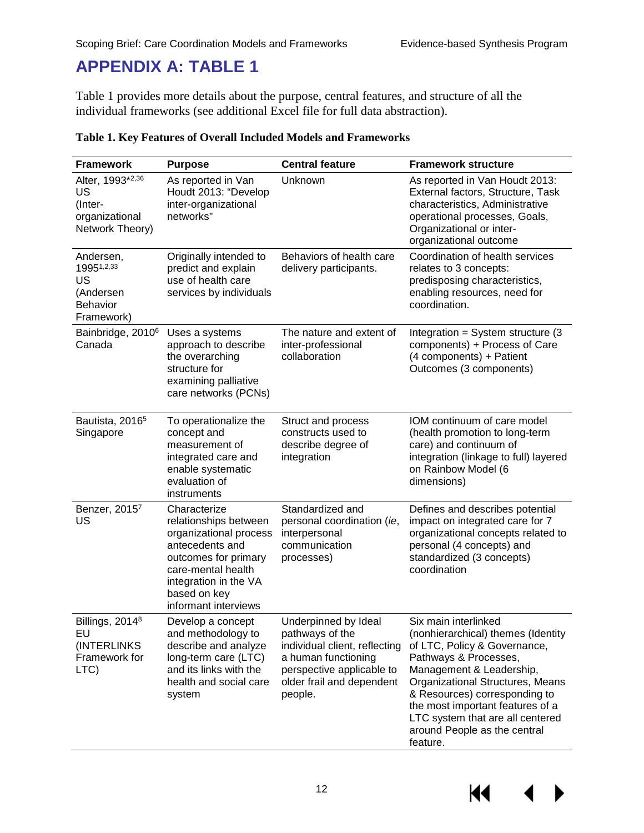#### <span id="page-12-0"></span>**APPENDIX A: TABLE 1**

Table 1 provides more details about the purpose, central features, and structure of all the individual frameworks (see additional Excel file for full data abstraction).

| <b>Framework</b>                                                            | <b>Purpose</b>                                                                                                                                                                                    | <b>Central feature</b>                                                                                                                                               | <b>Framework structure</b>                                                                                                                                                                                                                                                                                                   |
|-----------------------------------------------------------------------------|---------------------------------------------------------------------------------------------------------------------------------------------------------------------------------------------------|----------------------------------------------------------------------------------------------------------------------------------------------------------------------|------------------------------------------------------------------------------------------------------------------------------------------------------------------------------------------------------------------------------------------------------------------------------------------------------------------------------|
| Alter, 1993*2,36<br>US<br>(Inter-<br>organizational<br>Network Theory)      | As reported in Van<br>Houdt 2013: "Develop<br>inter-organizational<br>networks"                                                                                                                   | Unknown                                                                                                                                                              | As reported in Van Houdt 2013:<br>External factors, Structure, Task<br>characteristics, Administrative<br>operational processes, Goals,<br>Organizational or inter-<br>organizational outcome                                                                                                                                |
| Andersen,<br>19951,2,33<br>US<br>(Andersen<br><b>Behavior</b><br>Framework) | Originally intended to<br>predict and explain<br>use of health care<br>services by individuals                                                                                                    | Behaviors of health care<br>delivery participants.                                                                                                                   | Coordination of health services<br>relates to 3 concepts:<br>predisposing characteristics,<br>enabling resources, need for<br>coordination.                                                                                                                                                                                  |
| Bainbridge, 2010 <sup>6</sup><br>Canada                                     | Uses a systems<br>approach to describe<br>the overarching<br>structure for<br>examining palliative<br>care networks (PCNs)                                                                        | The nature and extent of<br>inter-professional<br>collaboration                                                                                                      | Integration = $System$ structure (3)<br>components) + Process of Care<br>(4 components) + Patient<br>Outcomes (3 components)                                                                                                                                                                                                 |
| Bautista, 2016 <sup>5</sup><br>Singapore                                    | To operationalize the<br>concept and<br>measurement of<br>integrated care and<br>enable systematic<br>evaluation of<br>instruments                                                                | Struct and process<br>constructs used to<br>describe degree of<br>integration                                                                                        | IOM continuum of care model<br>(health promotion to long-term<br>care) and continuum of<br>integration (linkage to full) layered<br>on Rainbow Model (6<br>dimensions)                                                                                                                                                       |
| Benzer, 20157<br>US                                                         | Characterize<br>relationships between<br>organizational process<br>antecedents and<br>outcomes for primary<br>care-mental health<br>integration in the VA<br>based on key<br>informant interviews | Standardized and<br>personal coordination (ie,<br>interpersonal<br>communication<br>processes)                                                                       | Defines and describes potential<br>impact on integrated care for 7<br>organizational concepts related to<br>personal (4 concepts) and<br>standardized (3 concepts)<br>coordination                                                                                                                                           |
| Billings, 2014 <sup>8</sup><br>EU<br>(INTERLINKS)<br>Framework for<br>LTC)  | Develop a concept<br>and methodology to<br>describe and analyze<br>long-term care (LTC)<br>and its links with the<br>health and social care<br>system                                             | Underpinned by Ideal<br>pathways of the<br>individual client, reflecting<br>a human functioning<br>perspective applicable to<br>older frail and dependent<br>people. | Six main interlinked<br>(nonhierarchical) themes (Identity<br>of LTC, Policy & Governance,<br>Pathways & Processes,<br>Management & Leadership,<br>Organizational Structures, Means<br>& Resources) corresponding to<br>the most important features of a<br>LTC system that are all centered<br>around People as the central |

#### **Table 1. Key Features of Overall Included Models and Frameworks**



feature.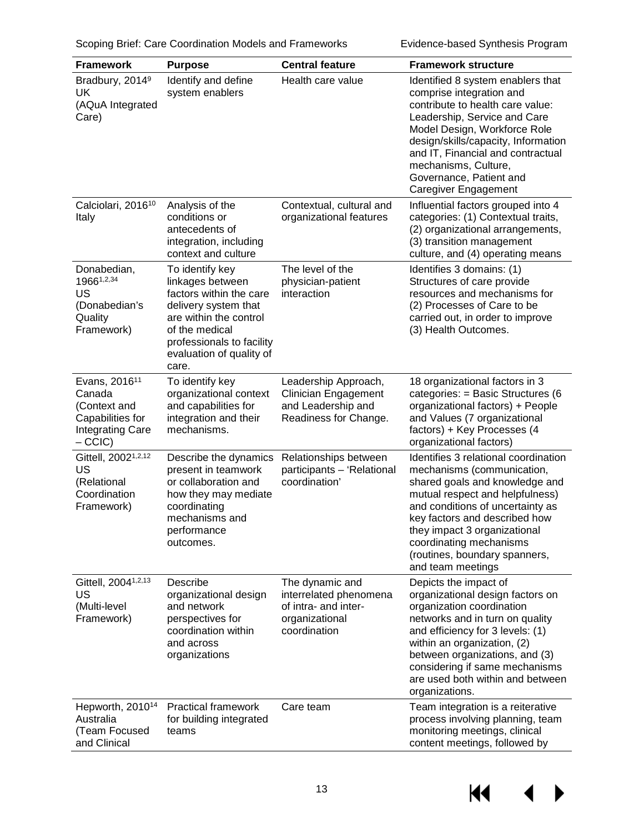| <b>Framework</b>                                                                                              | <b>Purpose</b>                                                                                                                                                                                       | <b>Central feature</b>                                                                              | <b>Framework structure</b>                                                                                                                                                                                                                                                                                                      |
|---------------------------------------------------------------------------------------------------------------|------------------------------------------------------------------------------------------------------------------------------------------------------------------------------------------------------|-----------------------------------------------------------------------------------------------------|---------------------------------------------------------------------------------------------------------------------------------------------------------------------------------------------------------------------------------------------------------------------------------------------------------------------------------|
| Bradbury, 2014 <sup>9</sup><br>UK<br>(AQuA Integrated<br>Care)                                                | Identify and define<br>system enablers                                                                                                                                                               | Health care value                                                                                   | Identified 8 system enablers that<br>comprise integration and<br>contribute to health care value:<br>Leadership, Service and Care<br>Model Design, Workforce Role<br>design/skills/capacity, Information<br>and IT, Financial and contractual<br>mechanisms, Culture,<br>Governance, Patient and<br><b>Caregiver Engagement</b> |
| Calciolari, 2016 <sup>10</sup><br>Italy                                                                       | Analysis of the<br>conditions or<br>antecedents of<br>integration, including<br>context and culture                                                                                                  | Contextual, cultural and<br>organizational features                                                 | Influential factors grouped into 4<br>categories: (1) Contextual traits,<br>(2) organizational arrangements,<br>(3) transition management<br>culture, and (4) operating means                                                                                                                                                   |
| Donabedian,<br>19661,2,34<br>US<br>(Donabedian's<br>Quality<br>Framework)                                     | To identify key<br>linkages between<br>factors within the care<br>delivery system that<br>are within the control<br>of the medical<br>professionals to facility<br>evaluation of quality of<br>care. | The level of the<br>physician-patient<br>interaction                                                | Identifies 3 domains: (1)<br>Structures of care provide<br>resources and mechanisms for<br>(2) Processes of Care to be<br>carried out, in order to improve<br>(3) Health Outcomes.                                                                                                                                              |
| Evans, 2016 <sup>11</sup><br>Canada<br>(Context and<br>Capabilities for<br><b>Integrating Care</b><br>$-CCIC$ | To identify key<br>organizational context<br>and capabilities for<br>integration and their<br>mechanisms.                                                                                            | Leadership Approach,<br>Clinician Engagement<br>and Leadership and<br>Readiness for Change.         | 18 organizational factors in 3<br>categories: = Basic Structures (6<br>organizational factors) + People<br>and Values (7 organizational<br>factors) + Key Processes (4<br>organizational factors)                                                                                                                               |
| Gittell, 2002 <sup>1,2,12</sup><br>US<br>(Relational<br>Coordination<br>Framework)                            | Describe the dynamics<br>present in teamwork<br>or collaboration and<br>how they may mediate<br>coordinating<br>mechanisms and<br>performance<br>outcomes.                                           | Relationships between<br>participants - 'Relational<br>coordination'                                | Identifies 3 relational coordination<br>mechanisms (communication,<br>shared goals and knowledge and<br>mutual respect and helpfulness)<br>and conditions of uncertainty as<br>key factors and described how<br>they impact 3 organizational<br>coordinating mechanisms<br>(routines, boundary spanners,<br>and team meetings   |
| Gittell, 2004 <sup>1,2,13</sup><br>US<br>(Multi-level<br>Framework)                                           | Describe<br>organizational design<br>and network<br>perspectives for<br>coordination within<br>and across<br>organizations                                                                           | The dynamic and<br>interrelated phenomena<br>of intra- and inter-<br>organizational<br>coordination | Depicts the impact of<br>organizational design factors on<br>organization coordination<br>networks and in turn on quality<br>and efficiency for 3 levels: (1)<br>within an organization, (2)<br>between organizations, and (3)<br>considering if same mechanisms<br>are used both within and between<br>organizations.          |
| Hepworth, 2010 <sup>14</sup><br>Australia<br>(Team Focused<br>and Clinical                                    | <b>Practical framework</b><br>for building integrated<br>teams                                                                                                                                       | Care team                                                                                           | Team integration is a reiterative<br>process involving planning, team<br>monitoring meetings, clinical<br>content meetings, followed by                                                                                                                                                                                         |

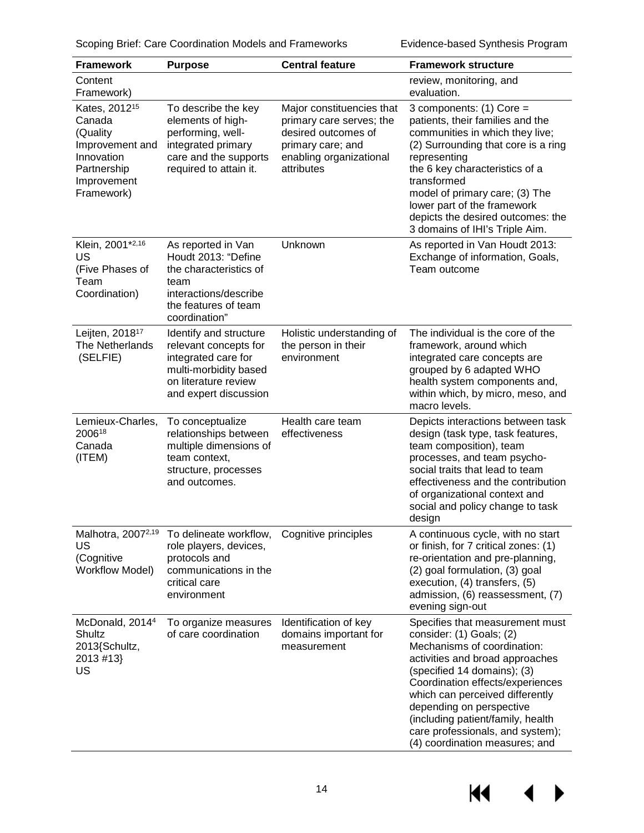Scoping Brief: Care Coordination Models and Frameworks **Evidence-based Synthesis Program** 

| <b>Framework</b>                                                                                                             | <b>Purpose</b>                                                                                                                                   | <b>Central feature</b>                                                                                                                     | <b>Framework structure</b>                                                                                                                                                                                                                                                                                                                                                 |
|------------------------------------------------------------------------------------------------------------------------------|--------------------------------------------------------------------------------------------------------------------------------------------------|--------------------------------------------------------------------------------------------------------------------------------------------|----------------------------------------------------------------------------------------------------------------------------------------------------------------------------------------------------------------------------------------------------------------------------------------------------------------------------------------------------------------------------|
| Content<br>Framework)                                                                                                        |                                                                                                                                                  |                                                                                                                                            | review, monitoring, and<br>evaluation.                                                                                                                                                                                                                                                                                                                                     |
| Kates, 2012 <sup>15</sup><br>Canada<br>(Quality<br>Improvement and<br>Innovation<br>Partnership<br>Improvement<br>Framework) | To describe the key<br>elements of high-<br>performing, well-<br>integrated primary<br>care and the supports<br>required to attain it.           | Major constituencies that<br>primary care serves; the<br>desired outcomes of<br>primary care; and<br>enabling organizational<br>attributes | 3 components: $(1)$ Core =<br>patients, their families and the<br>communities in which they live;<br>(2) Surrounding that core is a ring<br>representing<br>the 6 key characteristics of a<br>transformed<br>model of primary care; (3) The<br>lower part of the framework<br>depicts the desired outcomes: the<br>3 domains of IHI's Triple Aim.                          |
| Klein, 2001*2,16<br>US<br>(Five Phases of<br>Team<br>Coordination)                                                           | As reported in Van<br>Houdt 2013: "Define<br>the characteristics of<br>team<br>interactions/describe<br>the features of team<br>coordination"    | Unknown                                                                                                                                    | As reported in Van Houdt 2013:<br>Exchange of information, Goals,<br>Team outcome                                                                                                                                                                                                                                                                                          |
| Leijten, 2018 <sup>17</sup><br>The Netherlands<br>(SELFIE)                                                                   | Identify and structure<br>relevant concepts for<br>integrated care for<br>multi-morbidity based<br>on literature review<br>and expert discussion | Holistic understanding of<br>the person in their<br>environment                                                                            | The individual is the core of the<br>framework, around which<br>integrated care concepts are<br>grouped by 6 adapted WHO<br>health system components and,<br>within which, by micro, meso, and<br>macro levels.                                                                                                                                                            |
| Lemieux-Charles,<br>200618<br>Canada<br>(ITEM)                                                                               | To conceptualize<br>relationships between<br>multiple dimensions of<br>team context,<br>structure, processes<br>and outcomes.                    | Health care team<br>effectiveness                                                                                                          | Depicts interactions between task<br>design (task type, task features,<br>team composition), team<br>processes, and team psycho-<br>social traits that lead to team<br>effectiveness and the contribution<br>of organizational context and<br>social and policy change to task<br>design                                                                                   |
| Malhotra, 2007 <sup>2,19</sup><br>US<br>(Cognitive<br><b>Workflow Model)</b>                                                 | To delineate workflow,<br>role players, devices,<br>protocols and<br>communications in the<br>critical care<br>environment                       | Cognitive principles                                                                                                                       | A continuous cycle, with no start<br>or finish, for 7 critical zones: (1)<br>re-orientation and pre-planning,<br>(2) goal formulation, (3) goal<br>execution, (4) transfers, (5)<br>admission, (6) reassessment, (7)<br>evening sign-out                                                                                                                                   |
| McDonald, 2014 <sup>4</sup><br>Shultz<br>2013{Schultz,<br>2013 #13}<br>US                                                    | To organize measures<br>of care coordination                                                                                                     | Identification of key<br>domains important for<br>measurement                                                                              | Specifies that measurement must<br>consider: (1) Goals; (2)<br>Mechanisms of coordination:<br>activities and broad approaches<br>(specified 14 domains); (3)<br>Coordination effects/experiences<br>which can perceived differently<br>depending on perspective<br>(including patient/family, health<br>care professionals, and system);<br>(4) coordination measures; and |

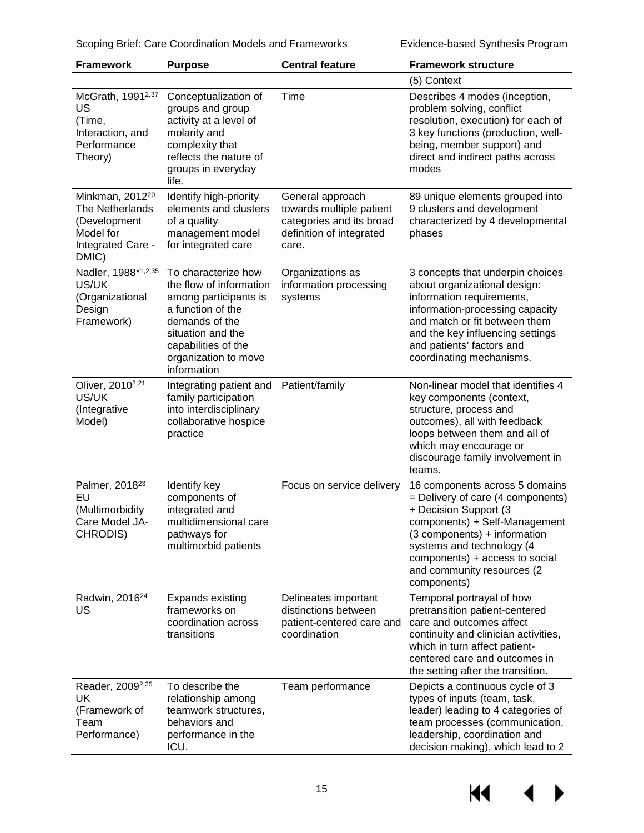| <b>Framework</b>                                                                                          | <b>Purpose</b>                                                                                                                                                                                    | <b>Central feature</b>                                                                                        | <b>Framework structure</b>                                                                                                                                                                                                                                                  |
|-----------------------------------------------------------------------------------------------------------|---------------------------------------------------------------------------------------------------------------------------------------------------------------------------------------------------|---------------------------------------------------------------------------------------------------------------|-----------------------------------------------------------------------------------------------------------------------------------------------------------------------------------------------------------------------------------------------------------------------------|
|                                                                                                           |                                                                                                                                                                                                   |                                                                                                               | (5) Context                                                                                                                                                                                                                                                                 |
| McGrath, 1991 <sup>2,37</sup><br>US<br>(Time,<br>Interaction, and<br>Performance<br>Theory)               | Conceptualization of<br>groups and group<br>activity at a level of<br>molarity and<br>complexity that<br>reflects the nature of<br>groups in everyday<br>life.                                    | Time                                                                                                          | Describes 4 modes (inception,<br>problem solving, conflict<br>resolution, execution) for each of<br>3 key functions (production, well-<br>being, member support) and<br>direct and indirect paths across<br>modes                                                           |
| Minkman, 2012 <sup>20</sup><br>The Netherlands<br>(Development<br>Model for<br>Integrated Care -<br>DMIC) | Identify high-priority<br>elements and clusters<br>of a quality<br>management model<br>for integrated care                                                                                        | General approach<br>towards multiple patient<br>categories and its broad<br>definition of integrated<br>care. | 89 unique elements grouped into<br>9 clusters and development<br>characterized by 4 developmental<br>phases                                                                                                                                                                 |
| Nadler, 1988*1,2,35<br>US/UK<br>(Organizational<br>Design<br>Framework)                                   | To characterize how<br>the flow of information<br>among participants is<br>a function of the<br>demands of the<br>situation and the<br>capabilities of the<br>organization to move<br>information | Organizations as<br>information processing<br>systems                                                         | 3 concepts that underpin choices<br>about organizational design:<br>information requirements,<br>information-processing capacity<br>and match or fit between them<br>and the key influencing settings<br>and patients' factors and<br>coordinating mechanisms.              |
| Oliver, 2010 <sup>2,21</sup><br>US/UK<br>(Integrative<br>Model)                                           | Integrating patient and<br>family participation<br>into interdisciplinary<br>collaborative hospice<br>practice                                                                                    | Patient/family                                                                                                | Non-linear model that identifies 4<br>key components (context,<br>structure, process and<br>outcomes), all with feedback<br>loops between them and all of<br>which may encourage or<br>discourage family involvement in<br>teams.                                           |
| Palmer, 2018 <sup>23</sup><br>EU<br>(Multimorbidity<br>Care Model JA-<br>CHRODIS)                         | Identify key<br>components of<br>integrated and<br>multidimensional care<br>pathways for<br>multimorbid patients                                                                                  | Focus on service delivery                                                                                     | 16 components across 5 domains<br>$=$ Delivery of care (4 components)<br>+ Decision Support (3<br>components) + Self-Management<br>(3 components) + information<br>systems and technology (4<br>components) + access to social<br>and community resources (2<br>components) |
| Radwin, 2016 <sup>24</sup><br>US                                                                          | <b>Expands existing</b><br>frameworks on<br>coordination across<br>transitions                                                                                                                    | Delineates important<br>distinctions between<br>patient-centered care and<br>coordination                     | Temporal portrayal of how<br>pretransition patient-centered<br>care and outcomes affect<br>continuity and clinician activities,<br>which in turn affect patient-<br>centered care and outcomes in<br>the setting after the transition.                                      |
| Reader, 2009 <sup>2,25</sup><br>UK<br>(Framework of<br>Team<br>Performance)                               | To describe the<br>relationship among<br>teamwork structures,<br>behaviors and<br>performance in the<br>ICU.                                                                                      | Team performance                                                                                              | Depicts a continuous cycle of 3<br>types of inputs (team, task,<br>leader) leading to 4 categories of<br>team processes (communication,<br>leadership, coordination and<br>decision making), which lead to 2                                                                |

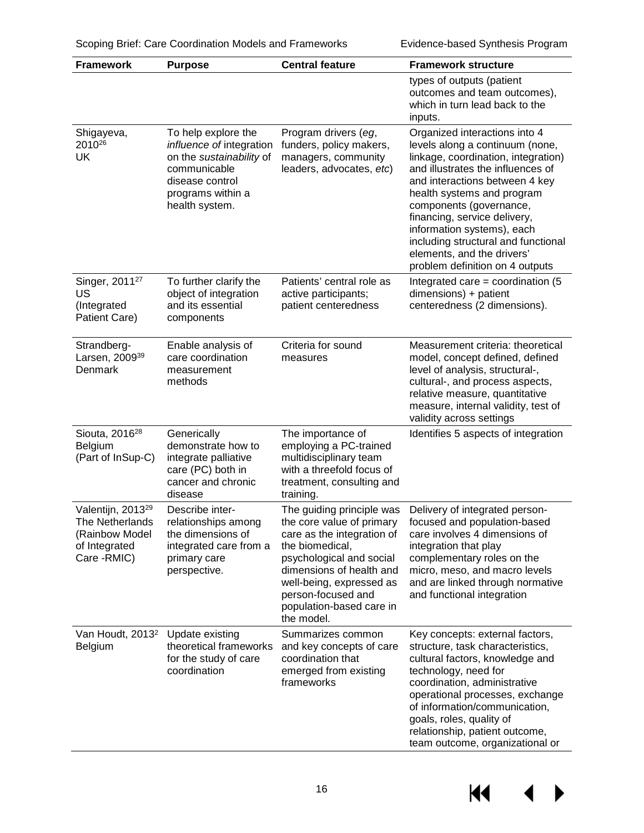| <b>Framework</b>                                                                                           | <b>Purpose</b>                                                                                                                                        | <b>Central feature</b>                                                                                                                                                                                                                                      | <b>Framework structure</b>                                                                                                                                                                                                                                                                                                                                                                                    |
|------------------------------------------------------------------------------------------------------------|-------------------------------------------------------------------------------------------------------------------------------------------------------|-------------------------------------------------------------------------------------------------------------------------------------------------------------------------------------------------------------------------------------------------------------|---------------------------------------------------------------------------------------------------------------------------------------------------------------------------------------------------------------------------------------------------------------------------------------------------------------------------------------------------------------------------------------------------------------|
|                                                                                                            |                                                                                                                                                       |                                                                                                                                                                                                                                                             | types of outputs (patient<br>outcomes and team outcomes),<br>which in turn lead back to the<br>inputs.                                                                                                                                                                                                                                                                                                        |
| Shigayeva,<br>2010 <sup>26</sup><br>UK                                                                     | To help explore the<br>influence of integration<br>on the sustainability of<br>communicable<br>disease control<br>programs within a<br>health system. | Program drivers (eg,<br>funders, policy makers,<br>managers, community<br>leaders, advocates, etc)                                                                                                                                                          | Organized interactions into 4<br>levels along a continuum (none,<br>linkage, coordination, integration)<br>and illustrates the influences of<br>and interactions between 4 key<br>health systems and program<br>components (governance,<br>financing, service delivery,<br>information systems), each<br>including structural and functional<br>elements, and the drivers'<br>problem definition on 4 outputs |
| Singer, 2011 <sup>27</sup><br>US<br>(Integrated<br>Patient Care)                                           | To further clarify the<br>object of integration<br>and its essential<br>components                                                                    | Patients' central role as<br>active participants;<br>patient centeredness                                                                                                                                                                                   | Integrated care = coordination $(5)$<br>dimensions) + patient<br>centeredness (2 dimensions).                                                                                                                                                                                                                                                                                                                 |
| Strandberg-<br>Larsen, 2009 <sup>39</sup><br>Denmark                                                       | Enable analysis of<br>care coordination<br>measurement<br>methods                                                                                     | Criteria for sound<br>measures                                                                                                                                                                                                                              | Measurement criteria: theoretical<br>model, concept defined, defined<br>level of analysis, structural-,<br>cultural-, and process aspects,<br>relative measure, quantitative<br>measure, internal validity, test of<br>validity across settings                                                                                                                                                               |
| Siouta, 2016 <sup>28</sup><br>Belgium<br>(Part of InSup-C)                                                 | Generically<br>demonstrate how to<br>integrate palliative<br>care (PC) both in<br>cancer and chronic<br>disease                                       | The importance of<br>employing a PC-trained<br>multidisciplinary team<br>with a threefold focus of<br>treatment, consulting and<br>training.                                                                                                                | Identifies 5 aspects of integration                                                                                                                                                                                                                                                                                                                                                                           |
| Valentijn, 2013 <sup>29</sup><br><b>The Netherlands</b><br>(Rainbow Model<br>of Integrated<br>Care - RMIC) | Describe inter-<br>relationships among<br>the dimensions of<br>integrated care from a<br>primary care<br>perspective.                                 | The guiding principle was<br>the core value of primary<br>care as the integration of<br>the biomedical,<br>psychological and social<br>dimensions of health and<br>well-being, expressed as<br>person-focused and<br>population-based care in<br>the model. | Delivery of integrated person-<br>focused and population-based<br>care involves 4 dimensions of<br>integration that play<br>complementary roles on the<br>micro, meso, and macro levels<br>and are linked through normative<br>and functional integration                                                                                                                                                     |
| Van Houdt, 2013 <sup>2</sup><br>Belgium                                                                    | Update existing<br>theoretical frameworks<br>for the study of care<br>coordination                                                                    | Summarizes common<br>and key concepts of care<br>coordination that<br>emerged from existing<br>frameworks                                                                                                                                                   | Key concepts: external factors,<br>structure, task characteristics,<br>cultural factors, knowledge and<br>technology, need for<br>coordination, administrative<br>operational processes, exchange<br>of information/communication,<br>goals, roles, quality of<br>relationship, patient outcome,<br>team outcome, organizational or                                                                           |

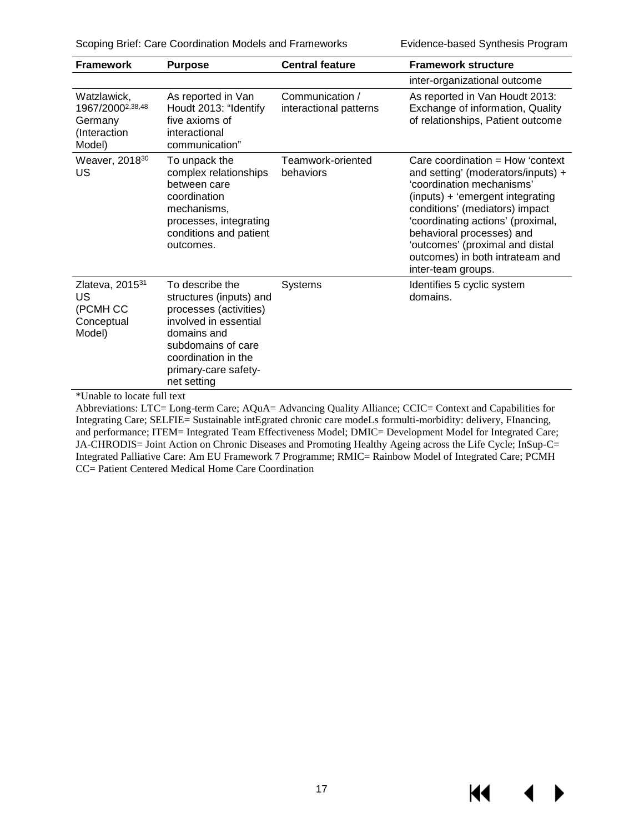Scoping Brief: Care Coordination Models and Frameworks Evidence-based Synthesis Program

KI.

▶

| <b>Framework</b>                                                                                                          | <b>Purpose</b>                                                                                                                                                                                   | <b>Central feature</b>                    | <b>Framework structure</b>                                                                                                                                                                                                                                                                                                                |
|---------------------------------------------------------------------------------------------------------------------------|--------------------------------------------------------------------------------------------------------------------------------------------------------------------------------------------------|-------------------------------------------|-------------------------------------------------------------------------------------------------------------------------------------------------------------------------------------------------------------------------------------------------------------------------------------------------------------------------------------------|
|                                                                                                                           |                                                                                                                                                                                                  |                                           | inter-organizational outcome                                                                                                                                                                                                                                                                                                              |
| Watzlawick,<br>1967/2000 <sup>2,38,48</sup><br>Germany<br>(Interaction<br>Model)                                          | As reported in Van<br>Houdt 2013: "Identify<br>five axioms of<br>interactional<br>communication"                                                                                                 | Communication /<br>interactional patterns | As reported in Van Houdt 2013:<br>Exchange of information, Quality<br>of relationships, Patient outcome                                                                                                                                                                                                                                   |
| Weaver, 2018 <sup>30</sup><br>US                                                                                          | To unpack the<br>complex relationships<br>between care<br>coordination<br>mechanisms,<br>processes, integrating<br>conditions and patient<br>outcomes.                                           | Teamwork-oriented<br>behaviors            | Care coordination $=$ How 'context<br>and setting' (moderators/inputs) +<br>'coordination mechanisms'<br>(inputs) + 'emergent integrating<br>conditions' (mediators) impact<br>'coordinating actions' (proximal,<br>behavioral processes) and<br>'outcomes' (proximal and distal<br>outcomes) in both intrateam and<br>inter-team groups. |
| Zlateva, 201531<br>US<br>(PCMH CC<br>Conceptual<br>Model)<br>$\Phi$ TT. $-1.1$ . $\lambda = 1$ . $-1.1$ . $\Gamma = 11.1$ | To describe the<br>structures (inputs) and<br>processes (activities)<br>involved in essential<br>domains and<br>subdomains of care<br>coordination in the<br>primary-care safety-<br>net setting | <b>Systems</b>                            | Identifies 5 cyclic system<br>domains.                                                                                                                                                                                                                                                                                                    |

\*Unable to locate full text

Abbreviations: LTC= Long-term Care; AQuA= Advancing Quality Alliance; CCIC= Context and Capabilities for Integrating Care; SELFIE= Sustainable intEgrated chronic care modeLs formulti-morbidity: delivery, FInancing, and performance; ITEM= Integrated Team Effectiveness Model; DMIC= Development Model for Integrated Care; JA-CHRODIS= Joint Action on Chronic Diseases and Promoting Healthy Ageing across the Life Cycle; InSup-C= Integrated Palliative Care: Am EU Framework 7 Programme; RMIC= Rainbow Model of Integrated Care; PCMH CC= Patient Centered Medical Home Care Coordination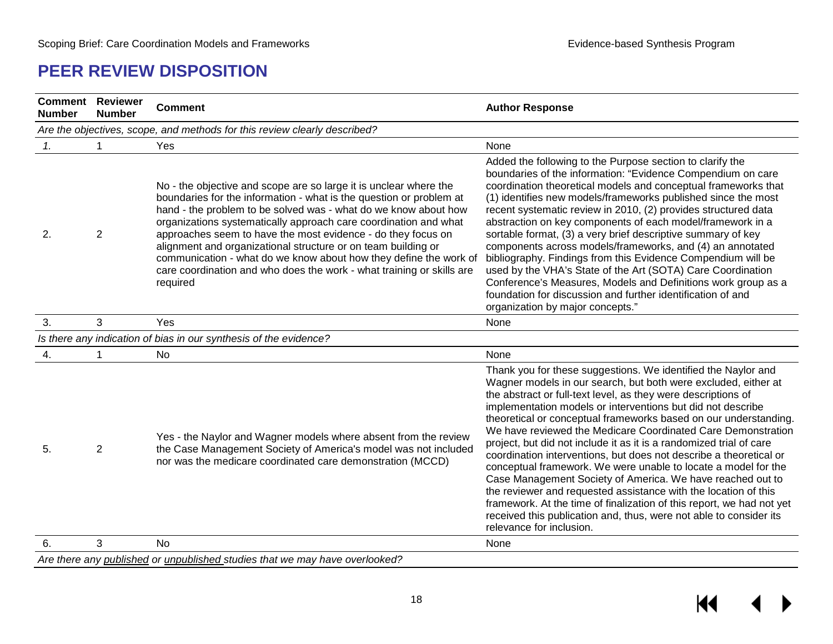#### **PEER REVIEW DISPOSITION**

<span id="page-18-0"></span>

| <b>Comment Reviewer</b><br><b>Number</b> | <b>Number</b>                                                               | <b>Comment</b>                                                                                                                                                                                                                                                                                                                                                                                                                                                                                                                                                             | <b>Author Response</b>                                                                                                                                                                                                                                                                                                                                                                                                                                                                                                                                                                                                                                                                                                                                                                                                                                                                                                         |  |  |  |
|------------------------------------------|-----------------------------------------------------------------------------|----------------------------------------------------------------------------------------------------------------------------------------------------------------------------------------------------------------------------------------------------------------------------------------------------------------------------------------------------------------------------------------------------------------------------------------------------------------------------------------------------------------------------------------------------------------------------|--------------------------------------------------------------------------------------------------------------------------------------------------------------------------------------------------------------------------------------------------------------------------------------------------------------------------------------------------------------------------------------------------------------------------------------------------------------------------------------------------------------------------------------------------------------------------------------------------------------------------------------------------------------------------------------------------------------------------------------------------------------------------------------------------------------------------------------------------------------------------------------------------------------------------------|--|--|--|
|                                          | Are the objectives, scope, and methods for this review clearly described?   |                                                                                                                                                                                                                                                                                                                                                                                                                                                                                                                                                                            |                                                                                                                                                                                                                                                                                                                                                                                                                                                                                                                                                                                                                                                                                                                                                                                                                                                                                                                                |  |  |  |
| $\mathbf{1}$ .                           | 1                                                                           | Yes                                                                                                                                                                                                                                                                                                                                                                                                                                                                                                                                                                        | None                                                                                                                                                                                                                                                                                                                                                                                                                                                                                                                                                                                                                                                                                                                                                                                                                                                                                                                           |  |  |  |
| 2.                                       | $\overline{2}$                                                              | No - the objective and scope are so large it is unclear where the<br>boundaries for the information - what is the question or problem at<br>hand - the problem to be solved was - what do we know about how<br>organizations systematically approach care coordination and what<br>approaches seem to have the most evidence - do they focus on<br>alignment and organizational structure or on team building or<br>communication - what do we know about how they define the work of<br>care coordination and who does the work - what training or skills are<br>required | Added the following to the Purpose section to clarify the<br>boundaries of the information: "Evidence Compendium on care<br>coordination theoretical models and conceptual frameworks that<br>(1) identifies new models/frameworks published since the most<br>recent systematic review in 2010, (2) provides structured data<br>abstraction on key components of each model/framework in a<br>sortable format, (3) a very brief descriptive summary of key<br>components across models/frameworks, and (4) an annotated<br>bibliography. Findings from this Evidence Compendium will be<br>used by the VHA's State of the Art (SOTA) Care Coordination<br>Conference's Measures, Models and Definitions work group as a<br>foundation for discussion and further identification of and<br>organization by major concepts."                                                                                                    |  |  |  |
| 3.                                       | 3                                                                           | Yes                                                                                                                                                                                                                                                                                                                                                                                                                                                                                                                                                                        | None                                                                                                                                                                                                                                                                                                                                                                                                                                                                                                                                                                                                                                                                                                                                                                                                                                                                                                                           |  |  |  |
|                                          |                                                                             | Is there any indication of bias in our synthesis of the evidence?                                                                                                                                                                                                                                                                                                                                                                                                                                                                                                          |                                                                                                                                                                                                                                                                                                                                                                                                                                                                                                                                                                                                                                                                                                                                                                                                                                                                                                                                |  |  |  |
| 4.                                       | 1                                                                           | No                                                                                                                                                                                                                                                                                                                                                                                                                                                                                                                                                                         | None                                                                                                                                                                                                                                                                                                                                                                                                                                                                                                                                                                                                                                                                                                                                                                                                                                                                                                                           |  |  |  |
| 5.                                       | $\overline{2}$                                                              | Yes - the Naylor and Wagner models where absent from the review<br>the Case Management Society of America's model was not included<br>nor was the medicare coordinated care demonstration (MCCD)                                                                                                                                                                                                                                                                                                                                                                           | Thank you for these suggestions. We identified the Naylor and<br>Wagner models in our search, but both were excluded, either at<br>the abstract or full-text level, as they were descriptions of<br>implementation models or interventions but did not describe<br>theoretical or conceptual frameworks based on our understanding.<br>We have reviewed the Medicare Coordinated Care Demonstration<br>project, but did not include it as it is a randomized trial of care<br>coordination interventions, but does not describe a theoretical or<br>conceptual framework. We were unable to locate a model for the<br>Case Management Society of America. We have reached out to<br>the reviewer and requested assistance with the location of this<br>framework. At the time of finalization of this report, we had not yet<br>received this publication and, thus, were not able to consider its<br>relevance for inclusion. |  |  |  |
| 6.                                       | 3                                                                           | <b>No</b>                                                                                                                                                                                                                                                                                                                                                                                                                                                                                                                                                                  | None                                                                                                                                                                                                                                                                                                                                                                                                                                                                                                                                                                                                                                                                                                                                                                                                                                                                                                                           |  |  |  |
|                                          | Are there any published or unpublished studies that we may have overlooked? |                                                                                                                                                                                                                                                                                                                                                                                                                                                                                                                                                                            |                                                                                                                                                                                                                                                                                                                                                                                                                                                                                                                                                                                                                                                                                                                                                                                                                                                                                                                                |  |  |  |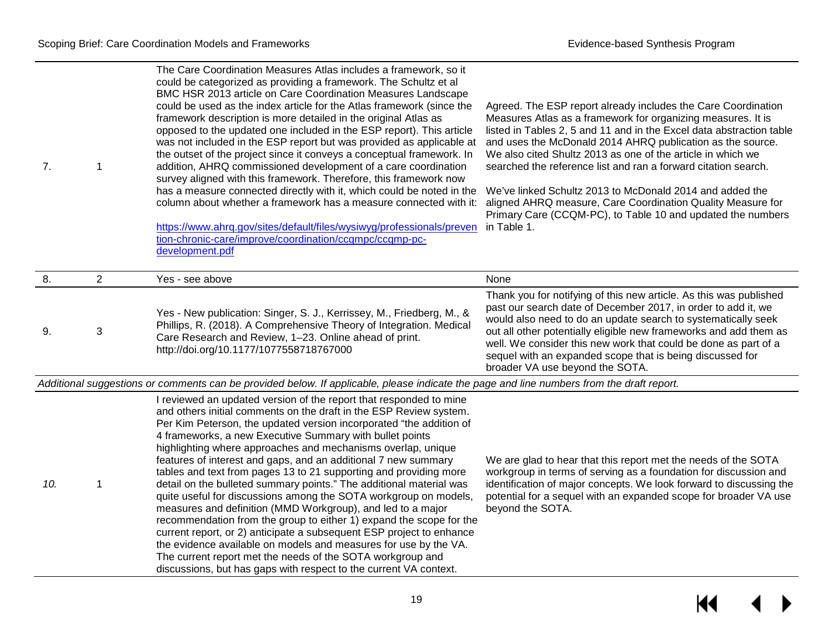| 7. |                | The Care Coordination Measures Atlas includes a framework, so it<br>could be categorized as providing a framework. The Schultz et al<br>BMC HSR 2013 article on Care Coordination Measures Landscape<br>could be used as the index article for the Atlas framework (since the<br>framework description is more detailed in the original Atlas as<br>opposed to the updated one included in the ESP report). This article<br>was not included in the ESP report but was provided as applicable at<br>the outset of the project since it conveys a conceptual framework. In<br>addition, AHRQ commissioned development of a care coordination<br>survey aligned with this framework. Therefore, this framework now<br>has a measure connected directly with it, which could be noted in the<br>column about whether a framework has a measure connected with it:<br>https://www.ahrq.gov/sites/default/files/wysiwyg/professionals/preven<br>tion-chronic-care/improve/coordination/ccqmpc/ccqmp-pc-<br>development.pdf | Agreed. The ESP report already includes the Care Coordination<br>Measures Atlas as a framework for organizing measures. It is<br>listed in Tables 2, 5 and 11 and in the Excel data abstraction table<br>and uses the McDonald 2014 AHRQ publication as the source.<br>We also cited Shultz 2013 as one of the article in which we<br>searched the reference list and ran a forward citation search.<br>We've linked Schultz 2013 to McDonald 2014 and added the<br>aligned AHRQ measure, Care Coordination Quality Measure for<br>Primary Care (CCQM-PC), to Table 10 and updated the numbers<br>in Table 1. |
|----|----------------|-----------------------------------------------------------------------------------------------------------------------------------------------------------------------------------------------------------------------------------------------------------------------------------------------------------------------------------------------------------------------------------------------------------------------------------------------------------------------------------------------------------------------------------------------------------------------------------------------------------------------------------------------------------------------------------------------------------------------------------------------------------------------------------------------------------------------------------------------------------------------------------------------------------------------------------------------------------------------------------------------------------------------|---------------------------------------------------------------------------------------------------------------------------------------------------------------------------------------------------------------------------------------------------------------------------------------------------------------------------------------------------------------------------------------------------------------------------------------------------------------------------------------------------------------------------------------------------------------------------------------------------------------|
| 8. | $\overline{2}$ | Yes - see above                                                                                                                                                                                                                                                                                                                                                                                                                                                                                                                                                                                                                                                                                                                                                                                                                                                                                                                                                                                                       | None                                                                                                                                                                                                                                                                                                                                                                                                                                                                                                                                                                                                          |
| 9. | 3              | Yes - New publication: Singer, S. J., Kerrissey, M., Friedberg, M., &<br>Phillips, R. (2018). A Comprehensive Theory of Integration. Medical<br>Care Research and Review, 1-23. Online ahead of print.<br>http://doi.org/10.1177/1077558718767000                                                                                                                                                                                                                                                                                                                                                                                                                                                                                                                                                                                                                                                                                                                                                                     | Thank you for notifying of this new article. As this was published<br>past our search date of December 2017, in order to add it, we<br>would also need to do an update search to systematically seek<br>out all other potentially eligible new frameworks and add them as<br>well. We consider this new work that could be done as part of a<br>sequel with an expanded scope that is being discussed for<br>broader VA use beyond the SOTA.                                                                                                                                                                  |

*Additional suggestions or comments can be provided below. If applicable, please indicate the page and line numbers from the draft report.*

| 10. |  | I reviewed an updated version of the report that responded to mine<br>and others initial comments on the draft in the ESP Review system.<br>Per Kim Peterson, the updated version incorporated "the addition of<br>4 frameworks, a new Executive Summary with bullet points<br>highlighting where approaches and mechanisms overlap, unique<br>features of interest and gaps, and an additional 7 new summary<br>tables and text from pages 13 to 21 supporting and providing more<br>detail on the bulleted summary points." The additional material was<br>quite useful for discussions among the SOTA workgroup on models,<br>measures and definition (MMD Workgroup), and led to a major<br>recommendation from the group to either 1) expand the scope for the<br>current report, or 2) anticipate a subsequent ESP project to enhance<br>the evidence available on models and measures for use by the VA.<br>The current report met the needs of the SOTA workgroup and<br>discussions, but has gaps with respect to the current VA context. | We are glad to hear<br>workgroup in terms of<br>identification of majo<br>potential for a seque<br>beyond the SOTA. |
|-----|--|----------------------------------------------------------------------------------------------------------------------------------------------------------------------------------------------------------------------------------------------------------------------------------------------------------------------------------------------------------------------------------------------------------------------------------------------------------------------------------------------------------------------------------------------------------------------------------------------------------------------------------------------------------------------------------------------------------------------------------------------------------------------------------------------------------------------------------------------------------------------------------------------------------------------------------------------------------------------------------------------------------------------------------------------------|---------------------------------------------------------------------------------------------------------------------|
|-----|--|----------------------------------------------------------------------------------------------------------------------------------------------------------------------------------------------------------------------------------------------------------------------------------------------------------------------------------------------------------------------------------------------------------------------------------------------------------------------------------------------------------------------------------------------------------------------------------------------------------------------------------------------------------------------------------------------------------------------------------------------------------------------------------------------------------------------------------------------------------------------------------------------------------------------------------------------------------------------------------------------------------------------------------------------------|---------------------------------------------------------------------------------------------------------------------|

that this report met the needs of the SOTA of serving as a foundation for discussion and or concepts. We look forward to discussing the  $e$ l with an expanded scope for broader VA use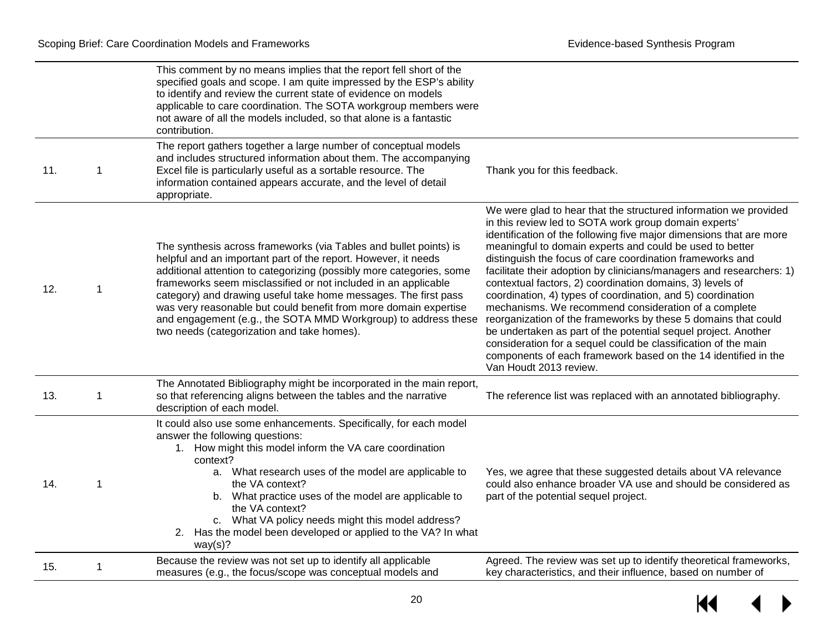|     |             | This comment by no means implies that the report fell short of the<br>specified goals and scope. I am quite impressed by the ESP's ability<br>to identify and review the current state of evidence on models<br>applicable to care coordination. The SOTA workgroup members were<br>not aware of all the models included, so that alone is a fantastic<br>contribution.                                                                                                                                                              |                                                                                                                                                                                                                                                                                                                                                                                                                                                                                                                                                                                                                                                                                                                                                                                                                                                                                         |
|-----|-------------|--------------------------------------------------------------------------------------------------------------------------------------------------------------------------------------------------------------------------------------------------------------------------------------------------------------------------------------------------------------------------------------------------------------------------------------------------------------------------------------------------------------------------------------|-----------------------------------------------------------------------------------------------------------------------------------------------------------------------------------------------------------------------------------------------------------------------------------------------------------------------------------------------------------------------------------------------------------------------------------------------------------------------------------------------------------------------------------------------------------------------------------------------------------------------------------------------------------------------------------------------------------------------------------------------------------------------------------------------------------------------------------------------------------------------------------------|
| 11. | 1           | The report gathers together a large number of conceptual models<br>and includes structured information about them. The accompanying<br>Excel file is particularly useful as a sortable resource. The<br>information contained appears accurate, and the level of detail<br>appropriate.                                                                                                                                                                                                                                              | Thank you for this feedback.                                                                                                                                                                                                                                                                                                                                                                                                                                                                                                                                                                                                                                                                                                                                                                                                                                                            |
| 12. | $\mathbf 1$ | The synthesis across frameworks (via Tables and bullet points) is<br>helpful and an important part of the report. However, it needs<br>additional attention to categorizing (possibly more categories, some<br>frameworks seem misclassified or not included in an applicable<br>category) and drawing useful take home messages. The first pass<br>was very reasonable but could benefit from more domain expertise<br>and engagement (e.g., the SOTA MMD Workgroup) to address these<br>two needs (categorization and take homes). | We were glad to hear that the structured information we provided<br>in this review led to SOTA work group domain experts'<br>identification of the following five major dimensions that are more<br>meaningful to domain experts and could be used to better<br>distinguish the focus of care coordination frameworks and<br>facilitate their adoption by clinicians/managers and researchers: 1)<br>contextual factors, 2) coordination domains, 3) levels of<br>coordination, 4) types of coordination, and 5) coordination<br>mechanisms. We recommend consideration of a complete<br>reorganization of the frameworks by these 5 domains that could<br>be undertaken as part of the potential sequel project. Another<br>consideration for a sequel could be classification of the main<br>components of each framework based on the 14 identified in the<br>Van Houdt 2013 review. |
| 13. | 1           | The Annotated Bibliography might be incorporated in the main report,<br>so that referencing aligns between the tables and the narrative<br>description of each model.                                                                                                                                                                                                                                                                                                                                                                | The reference list was replaced with an annotated bibliography.                                                                                                                                                                                                                                                                                                                                                                                                                                                                                                                                                                                                                                                                                                                                                                                                                         |
| 14. | 1           | It could also use some enhancements. Specifically, for each model<br>answer the following questions:<br>1. How might this model inform the VA care coordination<br>context?<br>a. What research uses of the model are applicable to<br>the VA context?<br>b. What practice uses of the model are applicable to<br>the VA context?<br>c. What VA policy needs might this model address?<br>2. Has the model been developed or applied to the VA? In what<br>way(s)?                                                                   | Yes, we agree that these suggested details about VA relevance<br>could also enhance broader VA use and should be considered as<br>part of the potential sequel project.                                                                                                                                                                                                                                                                                                                                                                                                                                                                                                                                                                                                                                                                                                                 |
| 15. | 1           | Because the review was not set up to identify all applicable<br>measures (e.g., the focus/scope was conceptual models and                                                                                                                                                                                                                                                                                                                                                                                                            | Agreed. The review was set up to identify theoretical frameworks,<br>key characteristics, and their influence, based on number of                                                                                                                                                                                                                                                                                                                                                                                                                                                                                                                                                                                                                                                                                                                                                       |

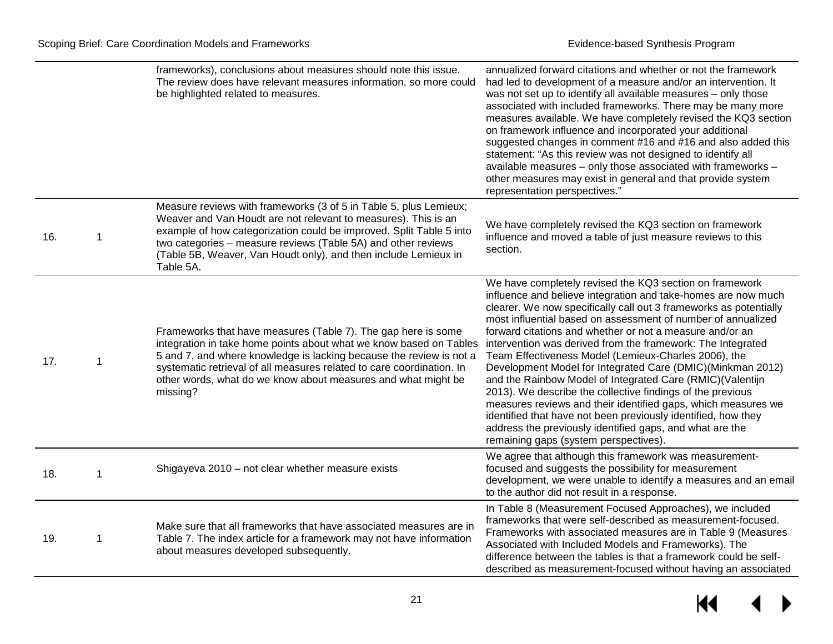|     |   | frameworks), conclusions about measures should note this issue.<br>The review does have relevant measures information, so more could<br>be highlighted related to measures.                                                                                                                                                                                      | annualized forward citations and whether or not the framework<br>had led to development of a measure and/or an intervention. It<br>was not set up to identify all available measures - only those<br>associated with included frameworks. There may be many more<br>measures available. We have completely revised the KQ3 section<br>on framework influence and incorporated your additional<br>suggested changes in comment #16 and #16 and also added this<br>statement: "As this review was not designed to identify all<br>available measures - only those associated with frameworks -<br>other measures may exist in general and that provide system<br>representation perspectives."                                                                                                                                                                                     |
|-----|---|------------------------------------------------------------------------------------------------------------------------------------------------------------------------------------------------------------------------------------------------------------------------------------------------------------------------------------------------------------------|----------------------------------------------------------------------------------------------------------------------------------------------------------------------------------------------------------------------------------------------------------------------------------------------------------------------------------------------------------------------------------------------------------------------------------------------------------------------------------------------------------------------------------------------------------------------------------------------------------------------------------------------------------------------------------------------------------------------------------------------------------------------------------------------------------------------------------------------------------------------------------|
| 16. | 1 | Measure reviews with frameworks (3 of 5 in Table 5, plus Lemieux;<br>Weaver and Van Houdt are not relevant to measures). This is an<br>example of how categorization could be improved. Split Table 5 into<br>two categories – measure reviews (Table 5A) and other reviews<br>(Table 5B, Weaver, Van Houdt only), and then include Lemieux in<br>Table 5A.      | We have completely revised the KQ3 section on framework<br>influence and moved a table of just measure reviews to this<br>section.                                                                                                                                                                                                                                                                                                                                                                                                                                                                                                                                                                                                                                                                                                                                               |
| 17. | 1 | Frameworks that have measures (Table 7). The gap here is some<br>integration in take home points about what we know based on Tables<br>5 and 7, and where knowledge is lacking because the review is not a<br>systematic retrieval of all measures related to care coordination. In<br>other words, what do we know about measures and what might be<br>missing? | We have completely revised the KQ3 section on framework<br>influence and believe integration and take-homes are now much<br>clearer. We now specifically call out 3 frameworks as potentially<br>most influential based on assessment of number of annualized<br>forward citations and whether or not a measure and/or an<br>intervention was derived from the framework: The Integrated<br>Team Effectiveness Model (Lemieux-Charles 2006), the<br>Development Model for Integrated Care (DMIC)(Minkman 2012)<br>and the Rainbow Model of Integrated Care (RMIC)(Valentijn<br>2013). We describe the collective findings of the previous<br>measures reviews and their identified gaps, which measures we<br>identified that have not been previously identified, how they<br>address the previously identified gaps, and what are the<br>remaining gaps (system perspectives). |
| 18. | 1 | Shigayeva 2010 - not clear whether measure exists                                                                                                                                                                                                                                                                                                                | We agree that although this framework was measurement-<br>focused and suggests the possibility for measurement<br>development, we were unable to identify a measures and an email<br>to the author did not result in a response.                                                                                                                                                                                                                                                                                                                                                                                                                                                                                                                                                                                                                                                 |
| 19. | 1 | Make sure that all frameworks that have associated measures are in<br>Table 7. The index article for a framework may not have information<br>about measures developed subsequently.                                                                                                                                                                              | In Table 8 (Measurement Focused Approaches), we included<br>frameworks that were self-described as measurement-focused.<br>Frameworks with associated measures are in Table 9 (Measures<br>Associated with Included Models and Frameworks). The<br>difference between the tables is that a framework could be self-<br>described as measurement-focused without having an associated                                                                                                                                                                                                                                                                                                                                                                                                                                                                                             |

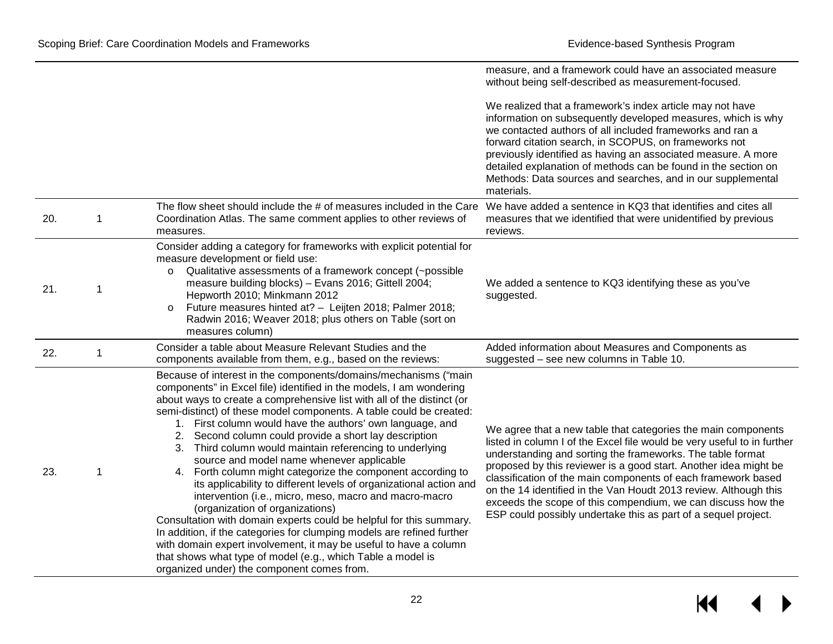|     |   |                                                                                                                                                                                                                                                                                                                                                                                                                                                                                                                                                                                                                                                                                                                                                                                                                                                                                                                                                                                                                                                                                              | measure, and a framework could have an associated measure<br>without being self-described as measurement-focused.                                                                                                                                                                                                                                                                                                                                                                                                                                 |
|-----|---|----------------------------------------------------------------------------------------------------------------------------------------------------------------------------------------------------------------------------------------------------------------------------------------------------------------------------------------------------------------------------------------------------------------------------------------------------------------------------------------------------------------------------------------------------------------------------------------------------------------------------------------------------------------------------------------------------------------------------------------------------------------------------------------------------------------------------------------------------------------------------------------------------------------------------------------------------------------------------------------------------------------------------------------------------------------------------------------------|---------------------------------------------------------------------------------------------------------------------------------------------------------------------------------------------------------------------------------------------------------------------------------------------------------------------------------------------------------------------------------------------------------------------------------------------------------------------------------------------------------------------------------------------------|
|     |   |                                                                                                                                                                                                                                                                                                                                                                                                                                                                                                                                                                                                                                                                                                                                                                                                                                                                                                                                                                                                                                                                                              | We realized that a framework's index article may not have<br>information on subsequently developed measures, which is why<br>we contacted authors of all included frameworks and ran a<br>forward citation search, in SCOPUS, on frameworks not<br>previously identified as having an associated measure. A more<br>detailed explanation of methods can be found in the section on<br>Methods: Data sources and searches, and in our supplemental<br>materials.                                                                                   |
| 20. | 1 | The flow sheet should include the # of measures included in the Care<br>Coordination Atlas. The same comment applies to other reviews of<br>measures.                                                                                                                                                                                                                                                                                                                                                                                                                                                                                                                                                                                                                                                                                                                                                                                                                                                                                                                                        | We have added a sentence in KQ3 that identifies and cites all<br>measures that we identified that were unidentified by previous<br>reviews.                                                                                                                                                                                                                                                                                                                                                                                                       |
| 21. | 1 | Consider adding a category for frameworks with explicit potential for<br>measure development or field use:<br>Qualitative assessments of a framework concept (~possible<br>O<br>measure building blocks) - Evans 2016; Gittell 2004;<br>Hepworth 2010; Minkmann 2012<br>Future measures hinted at? - Leijten 2018; Palmer 2018;<br>$\circ$<br>Radwin 2016; Weaver 2018; plus others on Table (sort on<br>measures column)                                                                                                                                                                                                                                                                                                                                                                                                                                                                                                                                                                                                                                                                    | We added a sentence to KQ3 identifying these as you've<br>suggested.                                                                                                                                                                                                                                                                                                                                                                                                                                                                              |
| 22. | 1 | Consider a table about Measure Relevant Studies and the<br>components available from them, e.g., based on the reviews:                                                                                                                                                                                                                                                                                                                                                                                                                                                                                                                                                                                                                                                                                                                                                                                                                                                                                                                                                                       | Added information about Measures and Components as<br>suggested - see new columns in Table 10.                                                                                                                                                                                                                                                                                                                                                                                                                                                    |
| 23. | 1 | Because of interest in the components/domains/mechanisms ("main<br>components" in Excel file) identified in the models, I am wondering<br>about ways to create a comprehensive list with all of the distinct (or<br>semi-distinct) of these model components. A table could be created:<br>1. First column would have the authors' own language, and<br>2. Second column could provide a short lay description<br>3. Third column would maintain referencing to underlying<br>source and model name whenever applicable<br>4. Forth column might categorize the component according to<br>its applicability to different levels of organizational action and<br>intervention (i.e., micro, meso, macro and macro-macro<br>(organization of organizations)<br>Consultation with domain experts could be helpful for this summary.<br>In addition, if the categories for clumping models are refined further<br>with domain expert involvement, it may be useful to have a column<br>that shows what type of model (e.g., which Table a model is<br>organized under) the component comes from. | We agree that a new table that categories the main components<br>listed in column I of the Excel file would be very useful to in further<br>understanding and sorting the frameworks. The table format<br>proposed by this reviewer is a good start. Another idea might be<br>classification of the main components of each framework based<br>on the 14 identified in the Van Houdt 2013 review. Although this<br>exceeds the scope of this compendium, we can discuss how the<br>ESP could possibly undertake this as part of a sequel project. |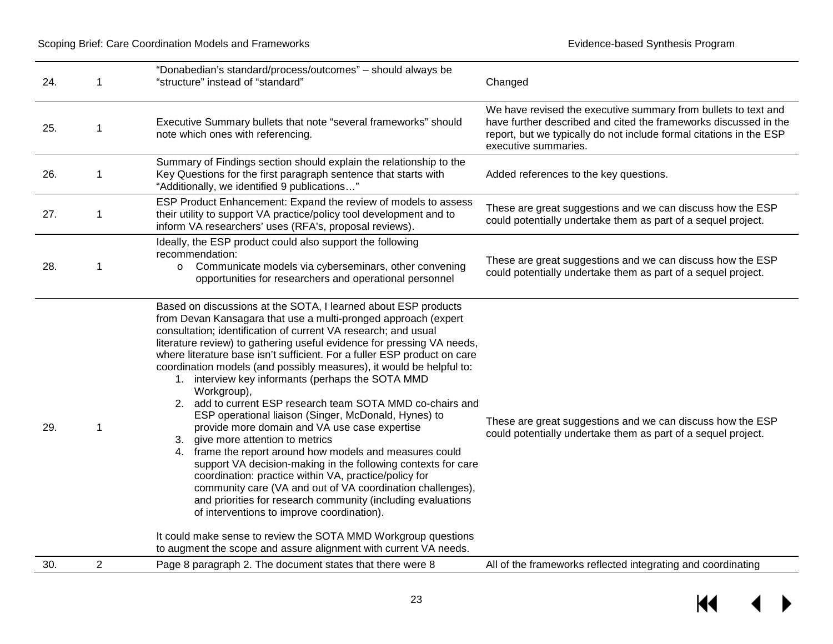| 24. |                | "Donabedian's standard/process/outcomes" - should always be<br>"structure" instead of "standard"                                                                                                                                                                                                                                                                                                                                                                                                                                                                                                                                                                                                                                                                                                                                                                                                                                                                                                                                                                                                                                                                                                                         | Changed                                                                                                                                                                                                                           |
|-----|----------------|--------------------------------------------------------------------------------------------------------------------------------------------------------------------------------------------------------------------------------------------------------------------------------------------------------------------------------------------------------------------------------------------------------------------------------------------------------------------------------------------------------------------------------------------------------------------------------------------------------------------------------------------------------------------------------------------------------------------------------------------------------------------------------------------------------------------------------------------------------------------------------------------------------------------------------------------------------------------------------------------------------------------------------------------------------------------------------------------------------------------------------------------------------------------------------------------------------------------------|-----------------------------------------------------------------------------------------------------------------------------------------------------------------------------------------------------------------------------------|
| 25. | 1              | Executive Summary bullets that note "several frameworks" should<br>note which ones with referencing.                                                                                                                                                                                                                                                                                                                                                                                                                                                                                                                                                                                                                                                                                                                                                                                                                                                                                                                                                                                                                                                                                                                     | We have revised the executive summary from bullets to text and<br>have further described and cited the frameworks discussed in the<br>report, but we typically do not include formal citations in the ESP<br>executive summaries. |
| 26. | 1              | Summary of Findings section should explain the relationship to the<br>Key Questions for the first paragraph sentence that starts with<br>"Additionally, we identified 9 publications"                                                                                                                                                                                                                                                                                                                                                                                                                                                                                                                                                                                                                                                                                                                                                                                                                                                                                                                                                                                                                                    | Added references to the key questions.                                                                                                                                                                                            |
| 27. | $\mathbf{1}$   | ESP Product Enhancement: Expand the review of models to assess<br>their utility to support VA practice/policy tool development and to<br>inform VA researchers' uses (RFA's, proposal reviews).                                                                                                                                                                                                                                                                                                                                                                                                                                                                                                                                                                                                                                                                                                                                                                                                                                                                                                                                                                                                                          | These are great suggestions and we can discuss how the ESP<br>could potentially undertake them as part of a sequel project.                                                                                                       |
| 28. | 1              | Ideally, the ESP product could also support the following<br>recommendation:<br>Communicate models via cyberseminars, other convening<br>$\circ$<br>opportunities for researchers and operational personnel                                                                                                                                                                                                                                                                                                                                                                                                                                                                                                                                                                                                                                                                                                                                                                                                                                                                                                                                                                                                              | These are great suggestions and we can discuss how the ESP<br>could potentially undertake them as part of a sequel project.                                                                                                       |
| 29. | -1             | Based on discussions at the SOTA, I learned about ESP products<br>from Devan Kansagara that use a multi-pronged approach (expert<br>consultation; identification of current VA research; and usual<br>literature review) to gathering useful evidence for pressing VA needs,<br>where literature base isn't sufficient. For a fuller ESP product on care<br>coordination models (and possibly measures), it would be helpful to:<br>1. interview key informants (perhaps the SOTA MMD<br>Workgroup),<br>2. add to current ESP research team SOTA MMD co-chairs and<br>ESP operational liaison (Singer, McDonald, Hynes) to<br>provide more domain and VA use case expertise<br>give more attention to metrics<br>frame the report around how models and measures could<br>4.<br>support VA decision-making in the following contexts for care<br>coordination: practice within VA, practice/policy for<br>community care (VA and out of VA coordination challenges),<br>and priorities for research community (including evaluations<br>of interventions to improve coordination).<br>It could make sense to review the SOTA MMD Workgroup questions<br>to augment the scope and assure alignment with current VA needs. | These are great suggestions and we can discuss how the ESP<br>could potentially undertake them as part of a sequel project.                                                                                                       |
| 30. | $\overline{2}$ | Page 8 paragraph 2. The document states that there were 8                                                                                                                                                                                                                                                                                                                                                                                                                                                                                                                                                                                                                                                                                                                                                                                                                                                                                                                                                                                                                                                                                                                                                                | All of the frameworks reflected integrating and coordinating                                                                                                                                                                      |

 $M \rightarrow$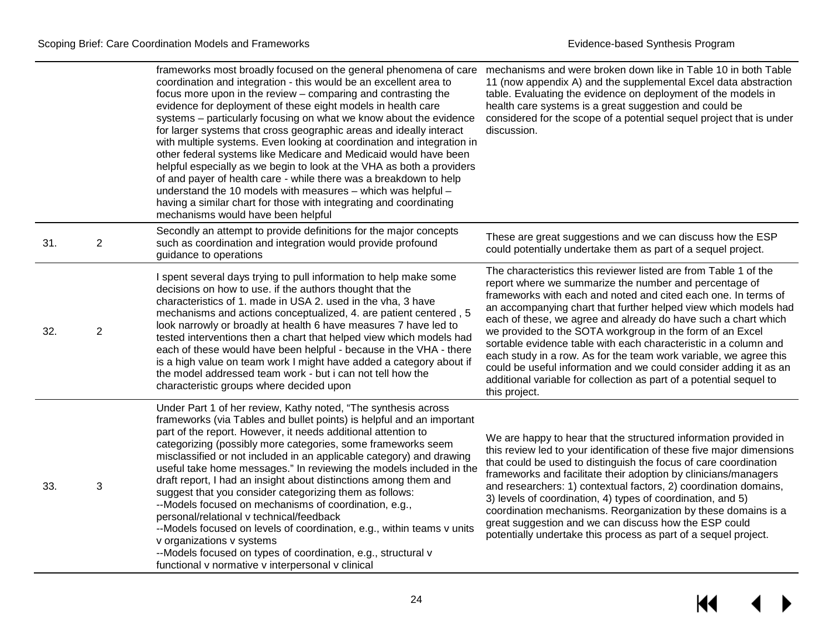|     |                | frameworks most broadly focused on the general phenomena of care mechanisms and were broken down like in Table 10 in both Table<br>coordination and integration - this would be an excellent area to<br>focus more upon in the review – comparing and contrasting the<br>evidence for deployment of these eight models in health care<br>systems - particularly focusing on what we know about the evidence<br>for larger systems that cross geographic areas and ideally interact<br>with multiple systems. Even looking at coordination and integration in<br>other federal systems like Medicare and Medicaid would have been<br>helpful especially as we begin to look at the VHA as both a providers<br>of and payer of health care - while there was a breakdown to help<br>understand the 10 models with measures - which was helpful -<br>having a similar chart for those with integrating and coordinating<br>mechanisms would have been helpful | 11 (now appendix A) and the supplemental Excel data abstraction<br>table. Evaluating the evidence on deployment of the models in<br>health care systems is a great suggestion and could be<br>considered for the scope of a potential sequel project that is under<br>discussion.                                                                                                                                                                                                                                                                                                                                                                                                                    |
|-----|----------------|------------------------------------------------------------------------------------------------------------------------------------------------------------------------------------------------------------------------------------------------------------------------------------------------------------------------------------------------------------------------------------------------------------------------------------------------------------------------------------------------------------------------------------------------------------------------------------------------------------------------------------------------------------------------------------------------------------------------------------------------------------------------------------------------------------------------------------------------------------------------------------------------------------------------------------------------------------|------------------------------------------------------------------------------------------------------------------------------------------------------------------------------------------------------------------------------------------------------------------------------------------------------------------------------------------------------------------------------------------------------------------------------------------------------------------------------------------------------------------------------------------------------------------------------------------------------------------------------------------------------------------------------------------------------|
| 31. | $\overline{2}$ | Secondly an attempt to provide definitions for the major concepts<br>such as coordination and integration would provide profound<br>guidance to operations                                                                                                                                                                                                                                                                                                                                                                                                                                                                                                                                                                                                                                                                                                                                                                                                 | These are great suggestions and we can discuss how the ESP<br>could potentially undertake them as part of a sequel project.                                                                                                                                                                                                                                                                                                                                                                                                                                                                                                                                                                          |
| 32. | $\overline{2}$ | I spent several days trying to pull information to help make some<br>decisions on how to use. if the authors thought that the<br>characteristics of 1. made in USA 2. used in the vha, 3 have<br>mechanisms and actions conceptualized, 4. are patient centered, 5<br>look narrowly or broadly at health 6 have measures 7 have led to<br>tested interventions then a chart that helped view which models had<br>each of these would have been helpful - because in the VHA - there<br>is a high value on team work I might have added a category about if<br>the model addressed team work - but i can not tell how the<br>characteristic groups where decided upon                                                                                                                                                                                                                                                                                       | The characteristics this reviewer listed are from Table 1 of the<br>report where we summarize the number and percentage of<br>frameworks with each and noted and cited each one. In terms of<br>an accompanying chart that further helped view which models had<br>each of these, we agree and already do have such a chart which<br>we provided to the SOTA workgroup in the form of an Excel<br>sortable evidence table with each characteristic in a column and<br>each study in a row. As for the team work variable, we agree this<br>could be useful information and we could consider adding it as an<br>additional variable for collection as part of a potential sequel to<br>this project. |
| 33. | 3              | Under Part 1 of her review, Kathy noted, "The synthesis across<br>frameworks (via Tables and bullet points) is helpful and an important<br>part of the report. However, it needs additional attention to<br>categorizing (possibly more categories, some frameworks seem<br>misclassified or not included in an applicable category) and drawing<br>useful take home messages." In reviewing the models included in the<br>draft report, I had an insight about distinctions among them and<br>suggest that you consider categorizing them as follows:<br>--Models focused on mechanisms of coordination, e.g.,<br>personal/relational v technical/feedback<br>--Models focused on levels of coordination, e.g., within teams v units<br>v organizations v systems<br>--Models focused on types of coordination, e.g., structural v<br>functional v normative v interpersonal v clinical                                                                   | We are happy to hear that the structured information provided in<br>this review led to your identification of these five major dimensions<br>that could be used to distinguish the focus of care coordination<br>frameworks and facilitate their adoption by clinicians/managers<br>and researchers: 1) contextual factors, 2) coordination domains,<br>3) levels of coordination, 4) types of coordination, and 5)<br>coordination mechanisms. Reorganization by these domains is a<br>great suggestion and we can discuss how the ESP could<br>potentially undertake this process as part of a sequel project.                                                                                     |